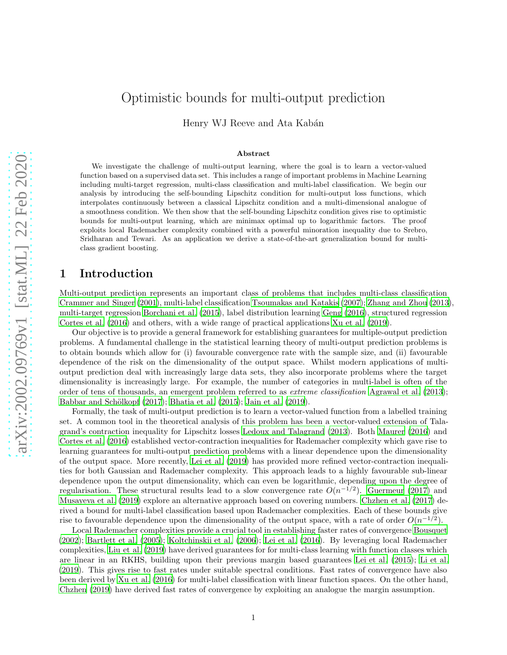# Optimistic bounds for multi-output prediction

Henry WJ Reeve and Ata Kabán

#### Abstract

We investigate the challenge of multi-output learning, where the goal is to learn a vector-valued function based on a supervised data set. This includes a range of important problems in Machine Learning including multi-target regression, multi-class classification and multi-label classification. We begin our analysis by introducing the self-bounding Lipschitz condition for multi-output loss functions, which interpolates continuously between a classical Lipschitz condition and a multi-dimensional analogue of a smoothness condition. We then show that the self-bounding Lipschitz condition gives rise to optimistic bounds for multi-output learning, which are minimax optimal up to logarithmic factors. The proof exploits local Rademacher complexity combined with a powerful minoration inequality due to Srebro, Sridharan and Tewari. As an application we derive a state-of-the-art generalization bound for multiclass gradient boosting.

## 1 Introduction

Multi-output prediction represents an important class of problems that includes multi-class classification [Crammer and Singer \(2001\)](#page-11-0), multi-label classification [Tsoumakas and Katakis \(2007](#page-11-1)); [Zhang and Zhou \(2013\)](#page-11-2), multi-target regression [Borchani et al. \(2015\)](#page-11-3), label distribution learning [Geng \(2016\)](#page-11-4), structured regression [Cortes et al. \(2016\)](#page-11-5) and others, with a wide range of practical applications [Xu et al. \(2019\)](#page-11-6).

Our objective is to provide a general framework for establishing guarantees for multiple-output prediction problems. A fundamental challenge in the statistical learning theory of multi-output prediction problems is to obtain bounds which allow for (i) favourable convergence rate with the sample size, and (ii) favourable dependence of the risk on the dimensionality of the output space. Whilst modern applications of multioutput prediction deal with increasingly large data sets, they also incorporate problems where the target dimensionality is increasingly large. For example, the number of categories in multi-label is often of the order of tens of thousands, an emergent problem referred to as extreme classification [Agrawal et al. \(2013\)](#page-11-7); Babbar and Schölkopf  $(2017)$ ; Bhatia et al.  $(2015)$ ; Jain et al.  $(2019)$ .

Formally, the task of multi-output prediction is to learn a vector-valued function from a labelled training set. A common tool in the theoretical analysis of this problem has been a vector-valued extension of Talagrand's contraction inequality for Lipschitz losses [Ledoux and Talagrand \(2013\)](#page-11-11). Both [Maurer \(2016](#page-11-12)) and [Cortes et al. \(2016\)](#page-11-5) established vector-contraction inequalities for Rademacher complexity which gave rise to learning guarantees for multi-output prediction problems with a linear dependence upon the dimensionality of the output space. More recently, [Lei et al. \(2019](#page-11-13)) has provided more refined vector-contraction inequalities for both Gaussian and Rademacher complexity. This approach leads to a highly favourable sub-linear dependence upon the output dimensionality, which can even be logarithmic, depending upon the degree of regularisation. These structural results lead to a slow convergence rate  $O(n^{-1/2})$ . [Guermeur \(2017\)](#page-11-14) and [Musayeva et al. \(2019\)](#page-11-15) explore an alternative approach based on covering numbers. [Chzhen et al. \(2017\)](#page-11-16) derived a bound for multi-label classification based upon Rademacher complexities. Each of these bounds give rise to favourable dependence upon the dimensionality of the output space, with a rate of order  $O(n^{-1/2})$ .

Local Rademacher complexities provide a crucial tool in establishing faster rates of convergence [Bousquet](#page-11-17) [\(2002\)](#page-11-17); [Bartlett et al. \(2005](#page-12-0)); [Koltchinskii et al. \(2006\)](#page-12-1); [Lei et al. \(2016\)](#page-12-2). By leveraging local Rademacher complexities, [Liu et al. \(2019](#page-12-3)) have derived guarantees for for multi-class learning with function classes which are linear in an RKHS, building upon their previous margin based guarantees [Lei et al. \(2015\)](#page-12-4); [Li et al.](#page-12-5) [\(2019\)](#page-12-5). This gives rise to fast rates under suitable spectral conditions. Fast rates of convergence have also been derived by [Xu et al. \(2016\)](#page-12-6) for multi-label classification with linear function spaces. On the other hand, [Chzhen \(2019\)](#page-12-7) have derived fast rates of convergence by exploiting an analogue the margin assumption.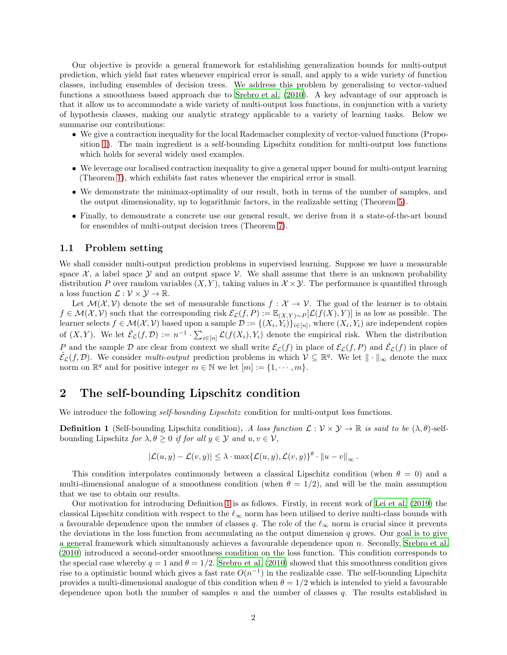Our objective is provide a general framework for establishing generalization bounds for multi-output prediction, which yield fast rates whenever empirical error is small, and apply to a wide variety of function classes, including ensembles of decision trees. We address this problem by generalising to vector-valued functions a smoothness based approach due to [Srebro et al. \(2010](#page-12-8)). A key advantage of our approach is that it allow us to accommodate a wide variety of multi-output loss functions, in conjunction with a variety of hypothesis classes, making our analytic strategy applicable to a variety of learning tasks. Below we summarise our contributions:

- We give a contraction inequality for the local Rademacher complexity of vector-valued functions (Proposition [1\)](#page-6-0). The main ingredient is a self-bounding Lipschitz condition for multi-output loss functions which holds for several widely used examples.
- We leverage our localised contraction inequality to give a general upper bound for multi-output learning (Theorem [1\)](#page-4-0), which exhibits fast rates whenever the empirical error is small.
- We demonstrate the minimax-optimality of our result, both in terms of the number of samples, and the output dimensionality, up to logarithmic factors, in the realizable setting (Theorem [5\)](#page-9-0).
- Finally, to demonstrate a concrete use our general result, we derive from it a state-of-the-art bound for ensembles of multi-output decision trees (Theorem [7\)](#page-10-0).

### 1.1 Problem setting

We shall consider multi-output prediction problems in supervised learning. Suppose we have a measurable space  $\mathcal{X}$ , a label space  $\mathcal{Y}$  and an output space  $\mathcal{V}$ . We shall assume that there is an unknown probability distribution P over random variables  $(X, Y)$ , taking values in  $\mathcal{X} \times \mathcal{Y}$ . The performance is quantified through a loss function  $\mathcal{L}: \mathcal{V} \times \mathcal{Y} \to \mathbb{R}$ .

Let  $\mathcal{M}(\mathcal{X}, \mathcal{V})$  denote the set of measurable functions  $f : \mathcal{X} \to \mathcal{V}$ . The goal of the learner is to obtain  $f \in \mathcal{M}(\mathcal{X}, \mathcal{V})$  such that the corresponding risk  $\mathcal{E}_{\mathcal{L}}(f, P) := \mathbb{E}_{(X,Y) \sim P}[\mathcal{L}(f(X), Y)]$  is as low as possible. The learner selects  $f \in \mathcal{M}(\mathcal{X}, \mathcal{V})$  based upon a sample  $\mathcal{D} := \{(X_i, Y_i)\}_{i \in [n]},$  where  $(X_i, Y_i)$  are independent copies of  $(X, Y)$ . We let  $\hat{\mathcal{E}}_{\mathcal{L}}(f, \mathcal{D}) := n^{-1} \cdot \sum_{i \in [n]} \mathcal{L}(f(X_i), Y_i)$  denote the empirical risk. When the distribution P and the sample D are clear from context we shall write  $\mathcal{E}_{\mathcal{L}}(f)$  in place of  $\mathcal{E}_{\mathcal{L}}(f, P)$  and  $\mathcal{E}_{\mathcal{L}}(f)$  in place of  $\hat{\mathcal{E}}_{\mathcal{L}}(f, \mathcal{D})$ . We consider *multi-output* prediction problems in which  $\mathcal{V} \subseteq \mathbb{R}^q$ . We let  $\|\cdot\|_{\infty}$  denote the max norm on  $\mathbb{R}^q$  and for positive integer  $m \in \mathbb{N}$  we let  $[m] := \{1, \dots, m\}.$ 

### 2 The self-bounding Lipschitz condition

We introduce the following *self-bounding Lipschitz* condition for multi-output loss functions.

<span id="page-1-0"></span>**Definition 1** (Self-bounding Lipschitz condition). A loss function  $\mathcal{L}: \mathcal{V} \times \mathcal{Y} \to \mathbb{R}$  is said to be  $(\lambda, \theta)$ -selfbounding Lipschitz for  $\lambda, \theta \geq 0$  if for all  $y \in \mathcal{Y}$  and  $u, v \in \mathcal{V}$ ,

$$
|\mathcal{L}(u,y)-\mathcal{L}(v,y)|\leq \lambda\cdot \max\{\mathcal{L}(u,y),\mathcal{L}(v,y)\}^{\theta}\cdot \|u-v\|_{\infty}.
$$

This condition interpolates continuously between a classical Lipschitz condition (when  $\theta = 0$ ) and a multi-dimensional analogue of a smoothness condition (when  $\theta = 1/2$ ), and will be the main assumption that we use to obtain our results.

Our motivation for introducing Definition [1](#page-1-0) is as follows. Firstly, in recent work of [Lei et al. \(2019\)](#page-11-13) the classical Lipschitz condition with respect to the  $\ell_{\infty}$  norm has been utilised to derive multi-class bounds with a favourable dependence upon the number of classes q. The role of the  $\ell_{\infty}$  norm is crucial since it prevents the deviations in the loss function from accumulating as the output dimension  $q$  grows. Our goal is to give a general framework which simultanously achieves a favourable dependence upon n. Secondly, [Srebro et al.](#page-12-8) [\(2010\)](#page-12-8) introduced a second-order smoothness condition on the loss function. This condition corresponds to the special case whereby  $q = 1$  and  $\theta = 1/2$ . [Srebro et al. \(2010\)](#page-12-8) showed that this smoothness condition gives rise to a optimistic bound which gives a fast rate  $O(n^{-1})$  in the realizable case. The self-bounding Lipschitz provides a multi-dimensional analogue of this condition when  $\theta = 1/2$  which is intended to yield a favourable dependence upon both the number of samples  $n$  and the number of classes  $q$ . The results established in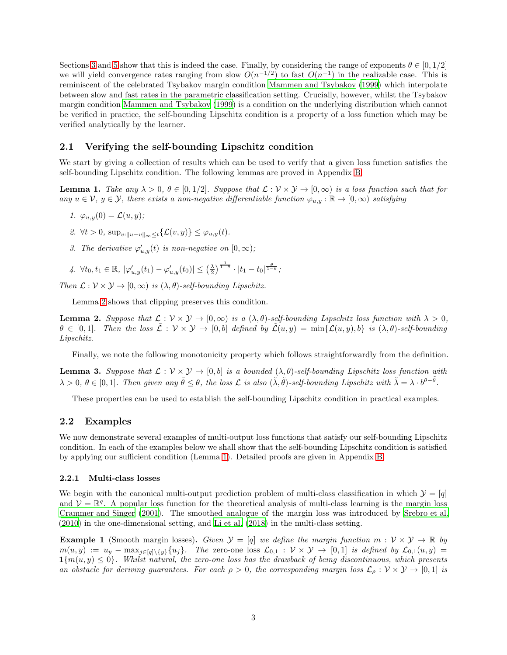Sections [3](#page-4-1) and [5](#page-9-1) show that this is indeed the case. Finally, by considering the range of exponents  $\theta \in [0, 1/2]$ we will yield convergence rates ranging from slow  $O(n^{-1/2})$  to fast  $O(n^{-1})$  in the realizable case. This is reminiscent of the celebrated Tsybakov margin condition [Mammen and Tsybakov \(1999\)](#page-12-9) which interpolate between slow and fast rates in the parametric classification setting. Crucially, however, whilst the Tsybakov margin condition [Mammen and Tsybakov \(1999\)](#page-12-9) is a condition on the underlying distribution which cannot be verified in practice, the self-bounding Lipschitz condition is a property of a loss function which may be verified analytically by the learner.

### 2.1 Verifying the self-bounding Lipschitz condition

We start by giving a collection of results which can be used to verify that a given loss function satisfies the self-bounding Lipschitz condition. The following lemmas are proved in Appendix [B.](#page-16-0)

<span id="page-2-1"></span>**Lemma 1.** Take any  $\lambda > 0$ ,  $\theta \in [0, 1/2]$ . Suppose that  $\mathcal{L}: \mathcal{V} \times \mathcal{Y} \to [0, \infty)$  is a loss function such that for any  $u \in V$ ,  $y \in Y$ , there exists a non-negative differentiable function  $\varphi_{u,y} : \mathbb{R} \to [0,\infty)$  satisfying

- 1.  $\varphi_{u,y}(0) = \mathcal{L}(u,y);$
- 2.  $\forall t > 0$ ,  $\sup_{v:||u-v||_{\infty} \leq t} {\mathcal{L}(v, y)} \leq \varphi_{u, y}(t)$ .
- 3. The derivative  $\varphi'_{u,y}(t)$  is non-negative on  $[0,\infty)$ ;

4. 
$$
\forall t_0, t_1 \in \mathbb{R}, |\varphi'_{u,y}(t_1) - \varphi'_{u,y}(t_0)| \leq (\frac{\lambda}{2})^{\frac{1}{1-\theta}} \cdot |t_1 - t_0|^{\frac{\theta}{1-\theta}};
$$

Then  $\mathcal{L}: \mathcal{V} \times \mathcal{Y} \to [0, \infty)$  is  $(\lambda, \theta)$ -self-bounding Lipschitz.

Lemma [2](#page-2-0) shows that clipping preserves this condition.

<span id="page-2-0"></span>**Lemma 2.** Suppose that  $\mathcal{L}: \mathcal{V} \times \mathcal{Y} \to [0, \infty)$  is a  $(\lambda, \theta)$ -self-bounding Lipschitz loss function with  $\lambda > 0$ ,  $\theta \in [0,1]$ . Then the loss  $\mathcal{L}: \mathcal{V} \times \mathcal{Y} \to [0,b]$  defined by  $\mathcal{L}(u,y) = \min{\{\mathcal{L}(u,y),b\}}$  is  $(\lambda,\theta)$ -self-bounding Lipschitz.

Finally, we note the following monotonicity property which follows straightforwardly from the definition.

<span id="page-2-2"></span>**Lemma 3.** Suppose that  $\mathcal{L}: \mathcal{V} \times \mathcal{Y} \to [0, b]$  is a bounded  $(\lambda, \theta)$ -self-bounding Lipschitz loss function with  $\lambda > 0, \ \theta \in [0,1].$  Then given any  $\tilde{\theta} \leq \theta$ , the loss  $\mathcal L$  is also  $(\tilde{\lambda}, \tilde{\theta})$ -self-bounding Lipschitz with  $\tilde{\lambda} = \lambda \cdot b^{\theta - \tilde{\theta}}$ .

These properties can be used to establish the self-bounding Lipschitz condition in practical examples.

### <span id="page-2-3"></span>2.2 Examples

We now demonstrate several examples of multi-output loss functions that satisfy our self-bounding Lipschitz condition. In each of the examples below we shall show that the self-bounding Lipschitz condition is satisfied by applying our sufficient condition (Lemma [1\)](#page-2-1). Detailed proofs are given in Appendix [B.](#page-16-0)

#### 2.2.1 Multi-class losses

We begin with the canonical multi-output prediction problem of multi-class classification in which  $\mathcal{Y} = [q]$ and  $V = \mathbb{R}^q$ . A popular loss function for the theoretical analysis of multi-class learning is the margin loss [Crammer and Singer \(2001](#page-11-0)). The smoothed analogue of the margin loss was introduced by [Srebro et al.](#page-12-8) [\(2010\)](#page-12-8) in the one-dimensional setting, and [Li et al. \(2018](#page-12-10)) in the multi-class setting.

**Example 1** (Smooth margin losses). Given  $\mathcal{Y} = [q]$  we define the margin function  $m : \mathcal{V} \times \mathcal{Y} \to \mathbb{R}$  by  $m(u, y) := u_y - \max_{j \in [q] \setminus \{y\}} \{u_j\}.$  The zero-one loss  $\mathcal{L}_{0,1} : \mathcal{V} \times \mathcal{Y} \to [0, 1]$  is defined by  $\mathcal{L}_{0,1}(u, y) =$  $1{m(u,y) \leq 0}$ . Whilst natural, the zero-one loss has the drawback of being discontinuous, which presents an obstacle for deriving guarantees. For each  $\rho > 0$ , the corresponding margin loss  $\mathcal{L}_{\rho}: \mathcal{V} \times \mathcal{Y} \to [0,1]$  is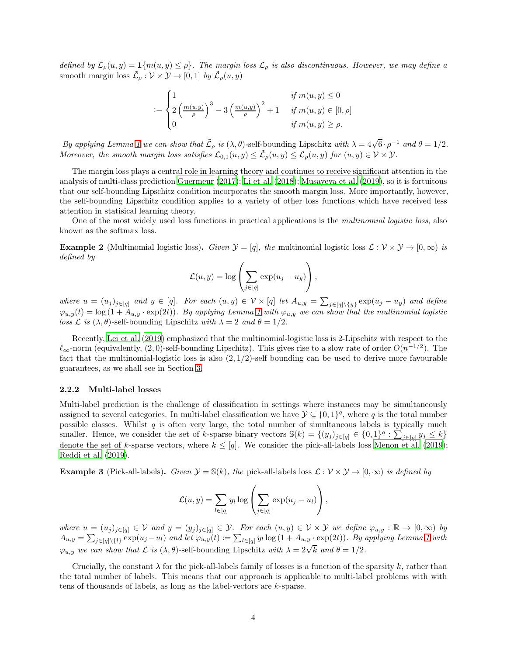defined by  $\mathcal{L}_{\rho}(u, y) = \mathbf{1}\{m(u, y) \leq \rho\}$ . The margin loss  $\mathcal{L}_{\rho}$  is also discontinuous. However, we may define a smooth margin loss  $\tilde{\mathcal{L}}_{\rho}: \mathcal{V} \times \mathcal{Y} \to [0,1]$  by  $\tilde{\mathcal{L}}_{\rho}(u, y)$ 

$$
:=\begin{cases}1 & \text{if } m(u,y) \leq 0\\2\left(\frac{m(u,y)}{\rho}\right)^3 - 3\left(\frac{m(u,y)}{\rho}\right)^2 + 1 & \text{if } m(u,y) \in [0,\rho]\\0 & \text{if } m(u,y) \geq \rho.\end{cases}
$$

By applying Lemma [1](#page-2-1) we can show that  $\tilde{\mathcal{L}}_{\rho}$  is  $(\lambda, \theta)$ -self-bounding Lipschitz with  $\lambda = 4\sqrt{6} \cdot \rho^{-1}$  and  $\theta = 1/2$ . Moreover, the smooth margin loss satisfies  $\mathcal{L}_{0,1}(u, y) \leq \tilde{\mathcal{L}}_{\rho}(u, y) \leq \mathcal{L}_{\rho}(u, y)$  for  $(u, y) \in \mathcal{V} \times \mathcal{Y}$ .

The margin loss plays a central role in learning theory and continues to receive significant attention in the analysis of multi-class prediction [Guermeur \(2017\)](#page-11-14); [Li et al. \(2018\)](#page-12-10); [Musayeva et al. \(2019](#page-11-15)), so it is fortuitous that our self-bounding Lipschitz condition incorporates the smooth margin loss. More importantly, however, the self-bounding Lipschitz condition applies to a variety of other loss functions which have received less attention in statisical learning theory.

One of the most widely used loss functions in practical applications is the *multinomial logistic loss*, also known as the softmax loss.

**Example 2** (Multinomial logistic loss). Given  $\mathcal{Y} = [q]$ , the multinomial logistic loss  $\mathcal{L}: \mathcal{V} \times \mathcal{Y} \to [0, \infty)$  is defined by

$$
\mathcal{L}(u, y) = \log \left( \sum_{j \in [q]} \exp(u_j - u_y) \right),\,
$$

where  $u = (u_j)_{j \in [q]}$  and  $y \in [q]$ . For each  $(u, y) \in V \times [q]$  let  $A_{u,y} = \sum_{j \in [q] \setminus \{y\}} \exp(u_j - u_y)$  and define  $\varphi_{u,y}(t) = \log(1 + A_{u,y} \cdot \exp(2t))$ . By applying Lemma [1](#page-2-1) with  $\varphi_{u,y}$  we can show that the multinomial logistic loss  $\mathcal L$  is  $(\lambda, \theta)$ -self-bounding Lipschitz with  $\lambda = 2$  and  $\theta = 1/2$ .

Recently, [Lei et al. \(2019\)](#page-11-13) emphasized that the multinomial-logistic loss is 2-Lipschitz with respect to the  $\ell_{\infty}$ -norm (equivalently, (2,0)-self-bounding Lipschitz). This gives rise to a slow rate of order  $O(n^{-1/2})$ . The fact that the multinomial-logistic loss is also  $(2, 1/2)$ -self bounding can be used to derive more favourable guarantees, as we shall see in Section [3.](#page-4-1)

#### 2.2.2 Multi-label losses

Multi-label prediction is the challenge of classification in settings where instances may be simultaneously assigned to several categories. In multi-label classification we have  $\mathcal{Y} \subseteq \{0,1\}^q$ , where q is the total number possible classes. Whilst  $q$  is often very large, the total number of simultaneous labels is typically much smaller. Hence, we consider the set of k-sparse binary vectors  $\mathbb{S}(k) = \{(y_j)_{j \in [q]} \in \{0,1\}^q : \sum_{j \in [q]} y_j \leq k\}$ denote the set of k-sparse vectors, where  $k \leq [q]$ . We consider the pick-all-labels loss [Menon et al. \(2019\)](#page-12-11); [Reddi et al. \(2019](#page-12-12)).

**Example 3** (Pick-all-labels). Given  $\mathcal{Y} = \mathbb{S}(k)$ , the pick-all-labels loss  $\mathcal{L} : \mathcal{V} \times \mathcal{Y} \to [0, \infty)$  is defined by

$$
\mathcal{L}(u, y) = \sum_{l \in [q]} y_l \log \left( \sum_{j \in [q]} \exp(u_j - u_l) \right),
$$

where  $u = (u_j)_{j \in [q]} \in V$  and  $y = (y_j)_{j \in [q]} \in V$ . For each  $(u, y) \in V \times V$  we define  $\varphi_{u,y} : \mathbb{R} \to [0, \infty)$  by  $A_{u,y} = \sum_{j \in [q] \setminus \{l\}} \exp(u_j - u_l)$  and let  $\varphi_{u,y}(t) := \sum_{l \in [q]} y_l \log(1 + A_{u,y} \cdot \exp(2t))$ . By applying Lemma [1](#page-2-1) with  $\varphi_{u,y}$  we can show that  $\mathcal L$  is  $(\lambda, \theta)$ -self-bounding Lipschitz with  $\lambda = 2\sqrt{k}$  and  $\theta = 1/2$ .

Crucially, the constant  $\lambda$  for the pick-all-labels family of losses is a function of the sparsity k, rather than the total number of labels. This means that our approach is applicable to multi-label problems with with tens of thousands of labels, as long as the label-vectors are k-sparse.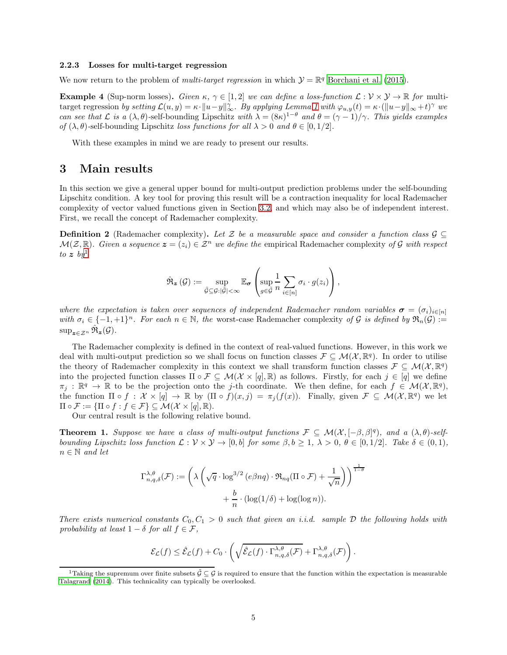#### 2.2.3 Losses for multi-target regression

We now return to the problem of *multi-target regression* in which  $\mathcal{Y} = \mathbb{R}^q$  [Borchani et al. \(2015\)](#page-11-3).

<span id="page-4-3"></span>**Example 4** (Sup-norm losses). Given  $\kappa$ ,  $\gamma \in [1, 2]$  we can define a loss-function  $\mathcal{L}: \mathcal{V} \times \mathcal{Y} \to \mathbb{R}$  for multitarget regression by setting  $\mathcal{L}(u, y) = \kappa \cdot ||u - y||_{\infty}^{\gamma}$ . By applying Lemma [1](#page-2-1) with  $\varphi_{u, y}(t) = \kappa \cdot (||u - y||_{\infty} + t)^{\gamma}$  we can see that  $\mathcal L$  is a  $(\lambda, \theta)$ -self-bounding Lipschitz with  $\lambda = (8\kappa)^{1-\theta}$  and  $\theta = (\gamma - 1)/\gamma$ . This yields examples of  $(\lambda, \theta)$ -self-bounding Lipschitz loss functions for all  $\lambda > 0$  and  $\theta \in [0, 1/2]$ .

With these examples in mind we are ready to present our results.

### <span id="page-4-1"></span>3 Main results

In this section we give a general upper bound for multi-output prediction problems under the self-bounding Lipschitz condition. A key tool for proving this result will be a contraction inequality for local Rademacher complexity of vector valued functions given in Section [3.2,](#page-6-1) and which may also be of independent interest. First, we recall the concept of Rademacher complexity.

**Definition 2** (Rademacher complexity). Let Z be a measurable space and consider a function class  $\mathcal{G} \subseteq$  $\mathcal{M}(\mathcal{Z}, \mathbb{R})$ . Given a sequence  $\mathbf{z} = (z_i) \in \mathcal{Z}^n$  we define the empirical Rademacher complexity of G with respect to  $z$  by

$$
\hat{\mathfrak{R}}_{\boldsymbol{z}}(\mathcal{G}) := \sup_{\tilde{\mathcal{G}} \subseteq \mathcal{G} : |\tilde{\mathcal{G}}| < \infty} \mathbb{E}_{\boldsymbol{\sigma}} \left( \sup_{g \in \tilde{\mathcal{G}}} \frac{1}{n} \sum_{i \in [n]} \sigma_i \cdot g(z_i) \right),
$$

where the expectation is taken over sequences of independent Rademacher random variables  $\sigma = (\sigma_i)_{i \in [n]}$ with  $\sigma_i \in \{-1, +1\}^n$ . For each  $n \in \mathbb{N}$ , the worst-case Rademacher complexity of G is defined by  $\Re_n(\mathcal{G})$  :=  $\sup_{\boldsymbol{z}\in\mathcal{Z}^n} \hat{\mathfrak{R}}_{\boldsymbol{z}}(\mathcal{G}).$ 

The Rademacher complexity is defined in the context of real-valued functions. However, in this work we deal with multi-output prediction so we shall focus on function classes  $\mathcal{F} \subseteq \mathcal{M}(\mathcal{X}, \mathbb{R}^q)$ . In order to utilise the theory of Rademacher complexity in this context we shall transform function classes  $\mathcal{F} \subseteq \mathcal{M}(\mathcal{X}, \mathbb{R}^q)$ into the projected function classes  $\Pi \circ \mathcal{F} \subseteq \mathcal{M}(\mathcal{X} \times [q], \mathbb{R})$  as follows. Firstly, for each  $j \in [q]$  we define  $\pi_j : \mathbb{R}^q \to \mathbb{R}$  to be the projection onto the j-th coordinate. We then define, for each  $f \in \mathcal{M}(\mathcal{X}, \mathbb{R}^q)$ , the function  $\Pi \circ f : \mathcal{X} \times [q] \to \mathbb{R}$  by  $(\Pi \circ f)(x, j) = \pi_j(f(x))$ . Finally, given  $\mathcal{F} \subseteq \mathcal{M}(\mathcal{X}, \mathbb{R}^q)$  we let  $\Pi \circ \mathcal{F} := {\Pi \circ f : f \in \mathcal{F}} \subseteq \mathcal{M}(\mathcal{X} \times [q], \mathbb{R}).$ 

Our central result is the following relative bound.

<span id="page-4-0"></span>**Theorem 1.** Suppose we have a class of multi-output functions  $\mathcal{F} \subseteq \mathcal{M}(\mathcal{X}, [-\beta, \beta]^q)$ , and a  $(\lambda, \theta)$ -selfbounding Lipschitz loss function  $\mathcal{L}: \mathcal{V} \times \mathcal{Y} \to [0, b]$  for some  $\beta, b \geq 1, \lambda > 0, \theta \in [0, 1/2]$ . Take  $\delta \in (0, 1)$ ,  $n \in \mathbb{N}$  and let

$$
\Gamma_{n,q,\delta}^{\lambda,\theta}(\mathcal{F}) := \left( \lambda \left( \sqrt{q} \cdot \log^{3/2} (e \beta nq) \cdot \Re_{nq} (\Pi \circ \mathcal{F}) + \frac{1}{\sqrt{n}} \right) \right)^{\frac{1}{1-\theta}}
$$

$$
+ \frac{b}{n} \cdot (\log(1/\delta) + \log(\log n)).
$$

There exists numerical constants  $C_0, C_1 > 0$  such that given an i.i.d. sample D the following holds with probability at least  $1 - \delta$  for all  $f \in \mathcal{F}$ ,

$$
\mathcal{E}_{\mathcal{L}}(f) \leq \hat{\mathcal{E}}_{\mathcal{L}}(f) + C_0 \cdot \left( \sqrt{\hat{\mathcal{E}}_{\mathcal{L}}(f) \cdot \Gamma^{\lambda,\theta}_{n,q,\delta}(\mathcal{F})} + \Gamma^{\lambda,\theta}_{n,q,\delta}(\mathcal{F}) \right).
$$

<span id="page-4-2"></span><sup>&</sup>lt;sup>1</sup>Taking the supremum over finite subsets  $\tilde{G} \subseteq G$  is required to ensure that the function within the expectation is measurable [Talagrand \(2014](#page-12-13)). This technicality can typically be overlooked.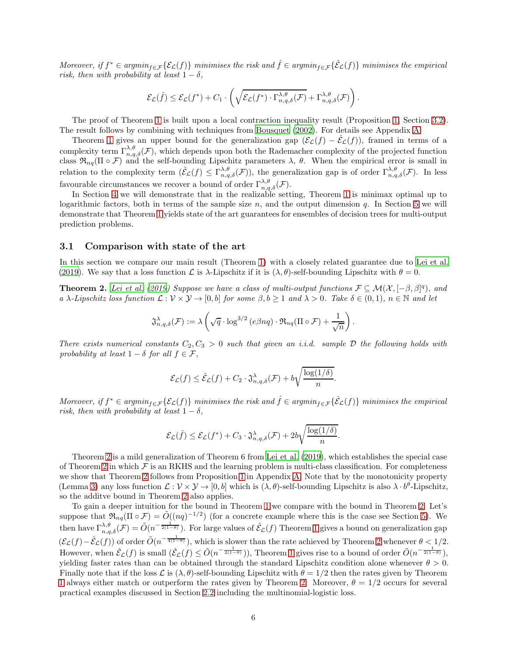Moreover, if  $f^* \in argmin_{f \in \mathcal{F}} \{ \mathcal{E}_{\mathcal{L}}(f) \}$  minimises the risk and  $\hat{f} \in argmin_{f \in \mathcal{F}} \{ \hat{\mathcal{E}}_{\mathcal{L}}(f) \}$  minimises the empirical risk, then with probability at least  $1 - \delta$ ,

$$
\mathcal{E}_{\mathcal{L}}(\hat{f}) \leq \mathcal{E}_{\mathcal{L}}(f^*) + C_1 \cdot \left( \sqrt{\mathcal{E}_{\mathcal{L}}(f^*) \cdot \Gamma^{\lambda,\theta}_{n,q,\delta}(\mathcal{F})} + \Gamma^{\lambda,\theta}_{n,q,\delta}(\mathcal{F}) \right).
$$

The proof of Theorem [1](#page-4-0) is built upon a local contraction inequality result (Proposition [1,](#page-6-0) Section [3.2\)](#page-6-1). The result follows by combining with techniques from [Bousquet \(2002](#page-11-17)). For details see Appendix [A.](#page-14-0)

Theorem [1](#page-4-0) gives an upper bound for the generalization gap  $(\mathcal{E}_{\mathcal{L}}(f) - \mathcal{E}_{\mathcal{L}}(f))$ , framed in terms of a complexity term  $\Gamma_{n,q,\delta}^{\lambda,\theta}(\mathcal{F})$ , which depends upon both the Rademacher complexity of the projected function class  $\mathfrak{R}_{nq}(\Pi \circ \mathcal{F})$  and the self-bounding Lipschitz parameters  $\lambda$ ,  $\theta$ . When the empirical error is small in relation to the complexity term  $(\hat{\mathcal{E}}_{\mathcal{L}}(f) \leq \Gamma^{\lambda,\theta}_{n,q,\delta}(\mathcal{F}))$ , the generalization gap is of order  $\Gamma^{\lambda,\theta}_{n,q,\delta}(\mathcal{F})$ . In less favourable circumstances we recover a bound of order  $\Gamma_{n,q,\delta}^{\lambda,\theta}(\mathcal{F})$ .

In Section [4](#page-8-0) we will demonstrate that in the realizable setting, Theorem [1](#page-4-0) is minimax optimal up to logarithmic factors, both in terms of the sample size  $n$ , and the output dimension  $q$ . In Section [5](#page-9-1) we will demonstrate that Theorem [1](#page-4-0) yields state of the art guarantees for ensembles of decision trees for multi-output prediction problems.

#### 3.1 Comparison with state of the art

In this section we compare our main result (Theorem [1\)](#page-4-0) with a closely related guarantee due to [Lei et al.](#page-11-13) [\(2019\)](#page-11-13). We say that a loss function  $\mathcal L$  is  $\lambda$ -Lipschitz if it is  $(\lambda, \theta)$ -self-bounding Lipschitz with  $\theta = 0$ .

<span id="page-5-0"></span>**Theorem 2.** [Lei et al. \(2019](#page-11-13)) Suppose we have a class of multi-output functions  $\mathcal{F} \subseteq \mathcal{M}(\mathcal{X}, [-\beta, \beta]^q)$ , and a λ-Lipschitz loss function  $\mathcal{L}: \mathcal{V} \times \mathcal{Y} \to [0, b]$  for some  $\beta, b \geq 1$  and  $\lambda > 0$ . Take  $\delta \in (0, 1)$ ,  $n \in \mathbb{N}$  and let

$$
\mathfrak{J}_{n,q,\delta}^{\lambda}(\mathcal{F}) := \lambda \left( \sqrt{q} \cdot \log^{3/2} (e \beta nq) \cdot \mathfrak{R}_{nq}(\Pi \circ \mathcal{F}) + \frac{1}{\sqrt{n}} \right).
$$

There exists numerical constants  $C_2, C_3 > 0$  such that given an i.i.d. sample  $D$  the following holds with probability at least  $1 - \delta$  for all  $f \in \mathcal{F}$ ,

$$
\mathcal{E}_{\mathcal{L}}(f) \leq \hat{\mathcal{E}}_{\mathcal{L}}(f) + C_2 \cdot \mathfrak{J}_{n,q,\delta}^{\lambda}(\mathcal{F}) + b \sqrt{\frac{\log(1/\delta)}{n}}.
$$

Moreover, if  $f^* \in argmin_{f \in \mathcal{F}} \{ \mathcal{E}_{\mathcal{L}}(f) \}$  minimises the risk and  $\hat{f} \in argmin_{f \in \mathcal{F}} \{ \hat{\mathcal{E}}_{\mathcal{L}}(f) \}$  minimises the empirical risk, then with probability at least  $1 - \delta$ ,

$$
\mathcal{E}_{\mathcal{L}}(\hat{f}) \leq \mathcal{E}_{\mathcal{L}}(f^*) + C_3 \cdot \mathfrak{J}_{n,q,\delta}^{\lambda}(\mathcal{F}) + 2b\sqrt{\frac{\log(1/\delta)}{n}}.
$$

Theorem [2](#page-5-0) is a mild generalization of Theorem 6 from [Lei et al. \(2019\)](#page-11-13), which establishes the special case of Theorem [2](#page-5-0) in which  $\mathcal F$  is an RKHS and the learning problem is multi-class classification. For completeness we show that Theorem [2](#page-5-0) follows from Proposition [1](#page-6-0) in Appendix [A.](#page-14-0) Note that by the monotonicity property (Lemma [3\)](#page-2-2) any loss function  $\mathcal{L} : \mathcal{V} \times \mathcal{Y} \to [0, b]$  which is  $(\lambda, \theta)$ -self-bounding Lipschitz is also  $\lambda \cdot b^{\theta}$ -Lipschitz, so the additve bound in Theorem [2](#page-5-0) also applies.

To gain a deeper intuition for the bound in Theorem [1](#page-4-0) we compare with the bound in Theorem [2.](#page-5-0) Let's suppose that  $\Re_{nq}(\Pi \circ \mathcal{F}) = \tilde{O}((nq)^{-1/2})$  (for a concrete example where this is the case see Section [5\)](#page-9-1). We then have  $\Gamma_{n,q,\delta}^{\lambda,\theta}(\mathcal{F})=\tilde{O}(n^{-\frac{1}{2(1-\theta)}})$ . For large values of  $\hat{\mathcal{E}}_{\mathcal{L}}(f)$  Theorem [1](#page-4-0) gives a bound on generalization gap  $(\mathcal{E}_{\mathcal{L}}(f) - \hat{\mathcal{E}}_{\mathcal{L}}(f))$  of order  $\tilde{O}(n^{-\frac{1}{4(1-\theta)}})$ , which is slower than the rate achieved by Theorem [2](#page-5-0) whenever  $\theta < 1/2$ . However, when  $\hat{\mathcal{E}}_{\mathcal{L}}(f)$  is small  $(\hat{\mathcal{E}}_{\mathcal{L}}(f) \le \tilde{O}(n^{-\frac{1}{2(1-\theta)}}))$ , Theorem [1](#page-4-0) gives rise to a bound of order  $\tilde{O}(n^{-\frac{1}{2(1-\theta)}})$ , yielding faster rates than can be obtained through the standard Lipschitz condition alone whenever  $\theta > 0$ . Finally note that if the loss  $\mathcal L$  is  $(\lambda, \theta)$ -self-bounding Lipschitz with  $\theta = 1/2$  then the rates given by Theorem [1](#page-4-0) always either match or outperform the rates given by Theorem [2.](#page-5-0) Moreover,  $\theta = 1/2$  occurs for several practical examples discussed in Section [2.2](#page-2-3) including the multinomial-logistic loss.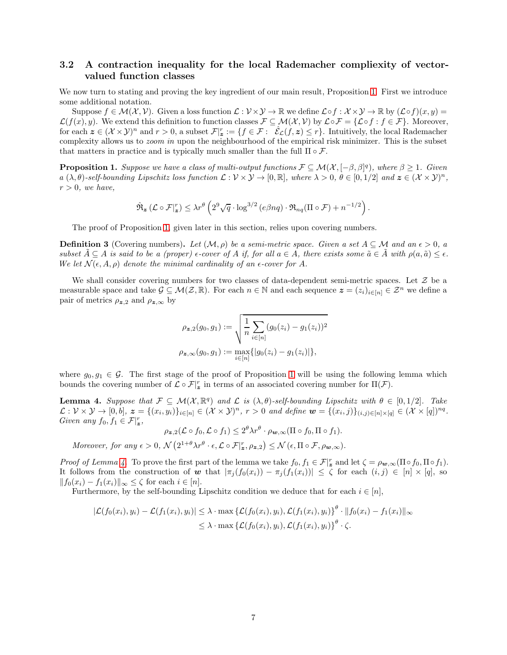### <span id="page-6-1"></span>3.2 A contraction inequality for the local Rademacher compliexity of vectorvalued function classes

We now turn to stating and proving the key ingredient of our main result, Proposition [1.](#page-6-0) First we introduce some additional notation.

Suppose  $f \in \mathcal{M}(\mathcal{X}, \mathcal{V})$ . Given a loss function  $\mathcal{L}: \mathcal{V} \times \mathcal{Y} \to \mathbb{R}$  we define  $\mathcal{L} \circ f : \mathcal{X} \times \mathcal{Y} \to \mathbb{R}$  by  $(\mathcal{L} \circ f)(x, y) =$  $\mathcal{L}(f(x), y)$ . We extend this definition to function classes  $\mathcal{F} \subseteq \mathcal{M}(\mathcal{X}, \mathcal{V})$  by  $\mathcal{L} \circ \mathcal{F} = \{ \mathcal{L} \circ f : f \in \mathcal{F} \}$ . Moreover, for each  $\mathbf{z} \in (\mathcal{X} \times \mathcal{Y})^n$  and  $r > 0$ , a subset  $\mathcal{F}|_{\mathbf{z}}^r := \{ f \in \mathcal{F} : \hat{\mathcal{E}}_{\mathcal{L}}(f, \mathbf{z}) \leq r \}$ . Intuitively, the local Rademacher complexity allows us to *zoom in* upon the neighbourhood of the empirical risk minimizer. This is the subset that matters in practice and is typically much smaller than the full  $\Pi \circ \mathcal{F}$ .

<span id="page-6-0"></span>**Proposition 1.** Suppose we have a class of multi-output functions  $\mathcal{F} \subseteq \mathcal{M}(\mathcal{X}, [-\beta, \beta]^q)$ , where  $\beta \ge 1$ . Given  $a(\lambda, \theta)$ -self-bounding Lipschitz loss function  $\mathcal{L}: \mathcal{V} \times \mathcal{V} \to [0, \mathbb{R}],$  where  $\lambda > 0, \theta \in [0, 1/2]$  and  $\mathbf{z} \in (\mathcal{X} \times \mathcal{Y})^n$ ,  $r > 0$ , we have,

$$
\hat{\mathfrak{R}}_{\boldsymbol{z}}\left(\mathcal{L}\circ\mathcal{F}|_{\boldsymbol{z}}^{r}\right)\leq\lambda r^{\theta}\left(2^{9}\sqrt{q}\cdot\log^{3/2}\left(e\beta nq\right)\cdot\mathfrak{R}_{nq}(\Pi\circ\mathcal{F})+n^{-1/2}\right).
$$

The proof of Proposition [1,](#page-6-0) given later in this section, relies upon covering numbers.

<span id="page-6-3"></span>**Definition 3** (Covering numbers). Let  $(M, \rho)$  be a semi-metric space. Given a set  $A \subseteq M$  and an  $\epsilon > 0$ , a subset  $\tilde{A} \subseteq A$  is said to be a (proper)  $\epsilon$ -cover of A if, for all  $a \in A$ , there exists some  $\tilde{a} \in \tilde{A}$  with  $\rho(a, \tilde{a}) \leq \epsilon$ . We let  $\mathcal{N}(\epsilon, A, \rho)$  denote the minimal cardinality of an  $\epsilon$ -cover for A.

We shall consider covering numbers for two classes of data-dependent semi-metric spaces. Let  $\mathcal Z$  be a measurable space and take  $\mathcal{G} \subseteq \mathcal{M}(\mathcal{Z}, \mathbb{R})$ . For each  $n \in \mathbb{N}$  and each sequence  $\mathbf{z} = (z_i)_{i \in [n]} \in \mathcal{Z}^n$  we define a pair of metrics  $\rho_{z,2}$  and  $\rho_{z,\infty}$  by

$$
\rho_{\mathbf{z},2}(g_0,g_1) := \sqrt{\frac{1}{n} \sum_{i \in [n]} (g_0(z_i) - g_1(z_i))^2}
$$

$$
\rho_{\mathbf{z},\infty}(g_0,g_1) := \max_{i \in [n]} \{|g_0(z_i) - g_1(z_i)|\},\
$$

where  $g_0, g_1 \in \mathcal{G}$ . The first stage of the proof of Proposition [1](#page-6-0) will be using the following lemma which bounds the covering number of  $\mathcal{L} \circ \mathcal{F}|_{\mathbf{z}}^r$  in terms of an associated covering number for  $\Pi(\mathcal{F})$ .

<span id="page-6-2"></span>**Lemma 4.** Suppose that  $\mathcal{F} \subseteq \mathcal{M}(\mathcal{X}, \mathbb{R}^q)$  and  $\mathcal{L}$  is  $(\lambda, \theta)$ -self-bounding Lipschitz with  $\theta \in [0, 1/2]$ . Take  $\mathcal{L}: \mathcal{V} \times \mathcal{Y} \to [0, b], \ z = \{(x_i, y_i)\}_{i \in [n]} \in (\mathcal{X} \times \mathcal{Y})^n, \ r > 0 \ \text{and define } \mathbf{w} = \{(x_i, j)\}_{(i,j) \in [n] \times [q]} \in (\mathcal{X} \times [q])^{nq}.$ Given any  $f_0, f_1 \in \mathcal{F}|_{\mathbf{z}}^r$ ,

$$
\rho_{\boldsymbol{z},2}(\mathcal{L}\circ f_0,\mathcal{L}\circ f_1)\leq 2^{\theta}\lambda r^{\theta}\cdot \rho_{\boldsymbol{w},\infty}(\Pi\circ f_0,\Pi\circ f_1).
$$

Moreover, for any  $\epsilon > 0$ ,  $\mathcal{N}\left(2^{1+\theta}\lambda r^{\theta} \cdot \epsilon, \mathcal{L} \circ \mathcal{F}|_{\mathbf{z}}^{r}, \rho_{\mathbf{z},2}\right) \leq \mathcal{N}\left(\epsilon, \Pi \circ \mathcal{F}, \rho_{\mathbf{w},\infty}\right)$ .

Proof of Lemma [4.](#page-6-2) To prove the first part of the lemma we take  $f_0, f_1 \in \mathcal{F}|_{\mathbf{z}}^r$  and let  $\zeta = \rho_{\mathbf{w},\infty}(\Pi \circ f_0, \Pi \circ f_1)$ . It follows from the construction of w that  $|\pi_j(f_0(x_i)) - \pi_j(f_1(x_i))| \leq \zeta$  for each  $(i, j) \in [n] \times [q]$ , so  $||f_0(x_i) - f_1(x_i)||_{\infty} \leq \zeta$  for each  $i \in [n]$ .

Furthermore, by the self-bounding Lipschitz condition we deduce that for each  $i \in [n]$ ,

$$
|\mathcal{L}(f_0(x_i), y_i) - \mathcal{L}(f_1(x_i), y_i)| \leq \lambda \cdot \max \{ \mathcal{L}(f_0(x_i), y_i), \mathcal{L}(f_1(x_i), y_i) \}^{\theta} \cdot ||f_0(x_i) - f_1(x_i)||_{\infty} \leq \lambda \cdot \max \{ \mathcal{L}(f_0(x_i), y_i), \mathcal{L}(f_1(x_i), y_i) \}^{\theta} \cdot \zeta.
$$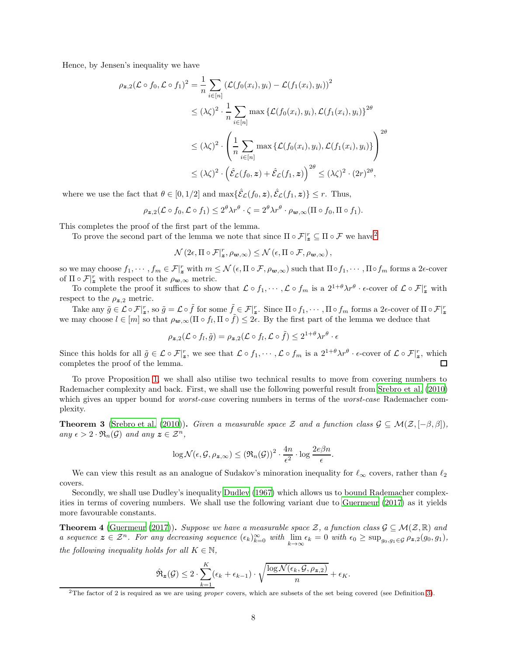Hence, by Jensen's inequality we have

$$
\rho_{\mathbf{z},2}(\mathcal{L} \circ f_0, \mathcal{L} \circ f_1)^2 = \frac{1}{n} \sum_{i \in [n]} (\mathcal{L}(f_0(x_i), y_i) - \mathcal{L}(f_1(x_i), y_i))^2
$$
  
\n
$$
\leq (\lambda \zeta)^2 \cdot \frac{1}{n} \sum_{i \in [n]} \max \{ \mathcal{L}(f_0(x_i), y_i), \mathcal{L}(f_1(x_i), y_i) \}^{2\theta}
$$
  
\n
$$
\leq (\lambda \zeta)^2 \cdot \left( \frac{1}{n} \sum_{i \in [n]} \max \{ \mathcal{L}(f_0(x_i), y_i), \mathcal{L}(f_1(x_i), y_i) \} \right)^{2\theta}
$$
  
\n
$$
\leq (\lambda \zeta)^2 \cdot (\hat{\mathcal{E}}_{\mathcal{L}}(f_0, \mathbf{z}) + \hat{\mathcal{E}}_{\mathcal{L}}(f_1, \mathbf{z}))^{2\theta} \leq (\lambda \zeta)^2 \cdot (2r)^{2\theta},
$$

where we use the fact that  $\theta \in [0, 1/2]$  and  $\max{\{\hat{\mathcal{E}}_{\mathcal{L}}(f_0, \mathbf{z}), \hat{\mathcal{E}}_{\mathcal{L}}(f_1, \mathbf{z})\}} \leq r$ . Thus,

$$
\rho_{\boldsymbol{z},2}(\mathcal{L}\circ f_0,\mathcal{L}\circ f_1)\leq 2^{\theta}\lambda r^{\theta}\cdot \zeta=2^{\theta}\lambda r^{\theta}\cdot \rho_{\boldsymbol{w},\infty}(\Pi\circ f_0,\Pi\circ f_1).
$$

This completes the proof of the first part of the lemma.

To prove the second part of the lemma we note that since  $\Pi \circ \mathcal{F}|_{\mathbf{z}}^r \subseteq \Pi \circ \mathcal{F}$  we have<sup>[2](#page-7-0)</sup>

$$
\mathcal{N}\left(2\epsilon,\Pi\circ\mathcal{F}|_{\bm{z}}^r,\rho_{\bm{w},\infty}\right)\leq\mathcal{N}\left(\epsilon,\Pi\circ\mathcal{F},\rho_{\bm{w},\infty}\right),
$$

so we may choose  $f_1, \dots, f_m \in \mathcal{F}|_{\mathbf{z}}^r$  with  $m \leq \mathcal{N}(\epsilon, \Pi \circ \mathcal{F}, \rho_{\mathbf{w}, \infty})$  such that  $\Pi \circ f_1, \dots, \Pi \circ f_m$  forms a 2 $\epsilon$ -cover of  $\Pi \circ \mathcal{F}|_{\boldsymbol{z}}^r$  with respect to the  $\rho_{\boldsymbol{w},\infty}$  metric.

To complete the proof it suffices to show that  $\mathcal{L} \circ f_1, \cdots, \mathcal{L} \circ f_m$  is a  $2^{1+\theta} \lambda r^{\theta} \cdot \epsilon$ -cover of  $\mathcal{L} \circ \mathcal{F}|_{\mathbf{z}}^r$  with respect to the  $\rho_{z,2}$  metric.

Take any  $\tilde{g} \in \mathcal{L} \circ \mathcal{F}|_{\mathbf{z}}^r$ , so  $\tilde{g} = \mathcal{L} \circ \tilde{f}$  for some  $\tilde{f} \in \mathcal{F}|_{\mathbf{z}}^r$ . Since  $\Pi \circ f_1, \cdots, \Pi \circ f_m$  forms a 2 $\epsilon$ -cover of  $\Pi \circ \mathcal{F}|_{\mathbf{z}}^r$ we may choose  $l \in [m]$  so that  $\rho_{\mathbf{w},\infty}(\Pi \circ f_l, \Pi \circ \tilde{f}) \leq 2\epsilon$ . By the first part of the lemma we deduce that

$$
\rho_{\boldsymbol{z},2}(\mathcal{L}\circ f_l,\tilde{g})=\rho_{\boldsymbol{z},2}(\mathcal{L}\circ f_l,\mathcal{L}\circ\tilde{f})\leq 2^{1+\theta}\lambda r^{\theta}\cdot\epsilon
$$

Since this holds for all  $\tilde{g} \in \mathcal{L} \circ \mathcal{F}|_{\mathbf{z}}^r$ , we see that  $\mathcal{L} \circ f_1, \cdots, \mathcal{L} \circ f_m$  is a  $2^{1+\theta}\lambda r^{\theta} \cdot \epsilon$ -cover of  $\mathcal{L} \circ \mathcal{F}|_{\mathbf{z}}^r$ , which completes the proof of the lemma.  $\Box$ 

To prove Proposition [1,](#page-6-0) we shall also utilise two technical results to move from covering numbers to Rademacher complexity and back. First, we shall use the following powerful result from [Srebro et al. \(2010](#page-12-8)) which gives an upper bound for *worst-case* covering numbers in terms of the *worst-case* Rademacher complexity.

<span id="page-7-1"></span>**Theorem 3** [\(Srebro et al. \(2010\)](#page-12-8)). Given a measurable space Z and a function class  $\mathcal{G} \subseteq \mathcal{M}(\mathcal{Z}, [-\beta, \beta])$ , any  $\epsilon > 2 \cdot \Re_n(\mathcal{G})$  and any  $z \in \mathcal{Z}^n$ ,

$$
\log \mathcal{N}(\epsilon, \mathcal{G}, \rho_{\mathbf{z}, \infty}) \leq (\Re_n(\mathcal{G}))^2 \cdot \frac{4n}{\epsilon^2} \cdot \log \frac{2e\beta n}{\epsilon}.
$$

We can view this result as an analogue of Sudakov's minoration inequality for  $\ell_{\infty}$  covers, rather than  $\ell_2$ covers.

Secondly, we shall use Dudley's inequality [Dudley \(1967](#page-12-14)) which allows us to bound Rademacher complexities in terms of covering numbers. We shall use the following variant due to [Guermeur \(2017\)](#page-11-14) as it yields more favourable constants.

<span id="page-7-2"></span>**Theorem 4** [\(Guermeur \(2017](#page-11-14))). Suppose we have a measurable space Z, a function class  $\mathcal{G} \subseteq \mathcal{M}(\mathcal{Z}, \mathbb{R})$  and a sequence  $z \in \mathcal{Z}^n$ . For any decreasing sequence  $(\epsilon_k)_{k=0}^{\infty}$  with  $\lim_{k \to \infty} \epsilon_k = 0$  with  $\epsilon_0 \ge \sup_{g_0, g_1 \in \mathcal{G}} \rho_{z,2}(g_0, g_1)$ , the following inequality holds for all  $K \in \mathbb{N}$ ,

$$
\hat{\mathfrak{R}}_{\mathbf{z}}(\mathcal{G}) \leq 2 \cdot \sum_{k=1}^{K} (\epsilon_k + \epsilon_{k-1}) \cdot \sqrt{\frac{\log \mathcal{N}(\epsilon_k, \mathcal{G}, \rho_{\mathbf{z},2})}{n}} + \epsilon_K.
$$

<span id="page-7-0"></span><sup>&</sup>lt;sup>2</sup>The factor of 2 is required as we are using *proper* covers, which are subsets of the set being covered (see Definition [3\)](#page-6-3).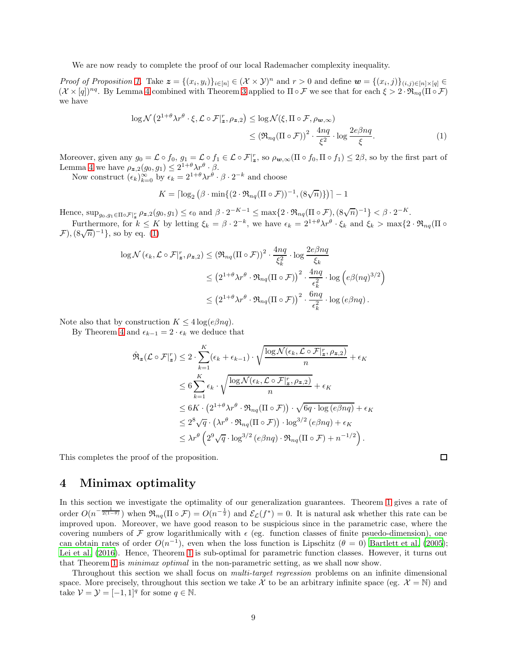We are now ready to complete the proof of our local Rademacher complexity inequality.

Proof of Proposition [1.](#page-6-0) Take  $\mathbf{z} = \{(x_i, y_i)\}_{i \in [n]} \in (\mathcal{X} \times \mathcal{Y})^n$  and  $r > 0$  and define  $\mathbf{w} = \{(x_i, j)\}_{(i,j) \in [n] \times [q]} \in$  $(\mathcal{X} \times [q])^{nq}$ . By Lemma [4](#page-6-2) combined with Theorem [3](#page-7-1) applied to  $\Pi \circ \mathcal{F}$  we see that for each  $\xi > 2 \cdot \Re_{nq}(\Pi \circ \mathcal{F})$ we have

$$
\log \mathcal{N}\left(2^{1+\theta}\lambda r^{\theta}\cdot\xi, \mathcal{L}\circ\mathcal{F}|_{\mathbf{z}}^{r}, \rho_{\mathbf{z},2}\right) \leq \log \mathcal{N}(\xi, \Pi\circ\mathcal{F}, \rho_{\mathbf{w},\infty})
$$
  
\$\leq (\Re\_{nq}(\Pi\circ\mathcal{F}))^{2} \cdot \frac{4nq}{\xi^{2}} \cdot \log\frac{2e\beta nq}{\xi}\$. (1)

Moreover, given any  $g_0 = \mathcal{L} \circ f_0$ ,  $g_1 = \mathcal{L} \circ f_1 \in \mathcal{L} \circ \mathcal{F}|_{\mathbf{z}}^r$ , so  $\rho_{\mathbf{w},\infty}(\Pi \circ f_0, \Pi \circ f_1) \leq 2\beta$ , so by the first part of Lemma [4](#page-6-2) we have  $\rho_{z,2}(g_0,g_1) \leq 2^{1+\theta} \lambda r^{\theta} \cdot \beta$ .

Now construct  $(\epsilon_k)_{k=0}^{\infty}$  by  $\epsilon_k = 2^{1+\theta} \lambda r^{\theta} \cdot \beta \cdot 2^{-k}$  and choose

$$
K = \lceil \log_2 \left( \beta \cdot \min\{ (2 \cdot \Re_{nq} (\Pi \circ \mathcal{F}))^{-1}, (8\sqrt{n}) \} \right) \rceil - 1
$$

Hence,  $\sup_{g_0,g_1\in\Pi\circ\mathcal{F}|_{\mathbf{z}}^r}\rho_{\mathbf{z},2}(g_0,g_1)\leq \epsilon_0$  and  $\beta\cdot 2^{-K-1}\leq \max\{2\cdot\Re_{nq}(\Pi\circ\mathcal{F}), (8\sqrt{n})^{-1}\}<\beta\cdot 2^{-K}.$ 

Furthermore, for  $k \leq K$  by letting  $\xi_k = \beta \cdot 2^{-k}$ , we have  $\epsilon_k = 2^{1+\theta} \lambda r^{\theta} \cdot \xi_k$  and  $\xi_k > \max\{2 \cdot \Re_{nq}(\Pi \circ \xi_k) \cdot \Re_{nq}(\Pi \circ \xi_k)\}$  $(\mathcal{F}),(\sqrt[8]{n})^{-1}\},\text{ so by eq. }^{-1}(1)$ 

$$
\log \mathcal{N}(\epsilon_k, \mathcal{L} \circ \mathcal{F}|_{\mathbf{z}}^r, \rho_{\mathbf{z},2}) \leq (\mathfrak{R}_{nq}(\Pi \circ \mathcal{F}))^2 \cdot \frac{4nq}{\xi_k^2} \cdot \log \frac{2e\beta nq}{\xi_k}
$$
  

$$
\leq (2^{1+\theta}\lambda r^{\theta} \cdot \mathfrak{R}_{nq}(\Pi \circ \mathcal{F}))^2 \cdot \frac{4nq}{\epsilon_k^2} \cdot \log \left(e\beta(nq)^{3/2}\right)
$$
  

$$
\leq (2^{1+\theta}\lambda r^{\theta} \cdot \mathfrak{R}_{nq}(\Pi \circ \mathcal{F}))^2 \cdot \frac{6nq}{\epsilon_k^2} \cdot \log \left(e\beta nq\right).
$$

Note also that by construction  $K \leq 4 \log(e \beta nq)$ .

By Theorem [4](#page-7-2) and  $\epsilon_{k-1} = 2 \cdot \epsilon_k$  we deduce that

$$
\hat{\mathfrak{R}}_{\mathbf{z}}(\mathcal{L}\circ\mathcal{F}|_{\mathbf{z}}^{r}) \leq 2 \cdot \sum_{k=1}^{K} (\epsilon_{k} + \epsilon_{k-1}) \cdot \sqrt{\frac{\log \mathcal{N}(\epsilon_{k}, \mathcal{L}\circ\mathcal{F}|_{\mathbf{z}}^{r}, \rho_{\mathbf{z},2})}{n}} + \epsilon_{K}
$$
\n
$$
\leq 6 \sum_{k=1}^{K} \epsilon_{k} \cdot \sqrt{\frac{\log \mathcal{N}(\epsilon_{k}, \mathcal{L}\circ\mathcal{F}|_{\mathbf{z}}^{r}, \rho_{\mathbf{z},2})}{n}} + \epsilon_{K}
$$
\n
$$
\leq 6K \cdot (2^{1+\theta} \lambda r^{\theta} \cdot \mathfrak{R}_{nq}(\Pi \circ \mathcal{F})) \cdot \sqrt{6q \cdot \log(e\beta nq)} + \epsilon_{K}
$$
\n
$$
\leq 2^{8} \sqrt{q} \cdot (\lambda r^{\theta} \cdot \mathfrak{R}_{nq}(\Pi \circ \mathcal{F})) \cdot \log^{3/2}(e\beta nq) + \epsilon_{K}
$$
\n
$$
\leq \lambda r^{\theta} \left( 2^{9} \sqrt{q} \cdot \log^{3/2}(e\beta nq) \cdot \mathfrak{R}_{nq}(\Pi \circ \mathcal{F}) + n^{-1/2} \right).
$$

This completes the proof of the proposition.

### $\Box$

<span id="page-8-1"></span> $\setminus$ 

## <span id="page-8-0"></span>4 Minimax optimality

In this section we investigate the optimality of our generalization guarantees. Theorem [1](#page-4-0) gives a rate of order  $O(n^{-\frac{1}{2(1-\theta)}})$  when  $\mathfrak{R}_{nq}(\Pi \circ \mathcal{F}) = O(n^{-\frac{1}{2}})$  and  $\mathcal{E}_{\mathcal{L}}(f^*) = 0$ . It is natural ask whether this rate can be improved upon. Moreover, we have good reason to be suspicious since in the parametric case, where the covering numbers of  $\mathcal F$  grow logarithmically with  $\epsilon$  (eg. function classes of finite psuedo-dimension), one can obtain rates of order  $O(n^{-1})$ , even when the loss function is Lipschitz ( $\theta = 0$ ) [Bartlett et al. \(2005\)](#page-12-0); [Lei et al. \(2016\)](#page-12-2). Hence, Theorem [1](#page-4-0) is sub-optimal for parametric function classes. However, it turns out that Theorem [1](#page-4-0) is minimax optimal in the non-parametric setting, as we shall now show.

Throughout this section we shall focus on multi-target regression problems on an infinite dimensional space. More precisely, throughout this section we take X to be an arbitrary infinite space (eg.  $\mathcal{X} = \mathbb{N}$ ) and take  $\mathcal{V} = \mathcal{Y} = [-1, 1]^q$  for some  $q \in \mathbb{N}$ .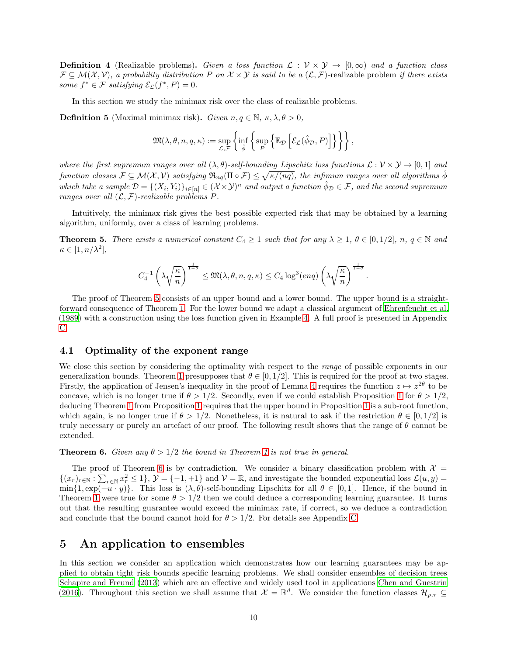**Definition 4** (Realizable problems). Given a loss function  $\mathcal{L}: \mathcal{V} \times \mathcal{Y} \rightarrow [0,\infty)$  and a function class  $\mathcal{F} \subseteq \mathcal{M}(\mathcal{X}, \mathcal{V})$ , a probability distribution P on  $\mathcal{X} \times \mathcal{Y}$  is said to be a  $(\mathcal{L}, \mathcal{F})$ -realizable problem if there exists some  $f^* \in \mathcal{F}$  satisfying  $\mathcal{E}_{\mathcal{L}}(f^*, P) = 0$ .

In this section we study the minimax risk over the class of realizable problems.

**Definition 5** (Maximal minimax risk). Given  $n, q \in \mathbb{N}$ ,  $\kappa, \lambda, \theta > 0$ ,

$$
\mathfrak{M}(\lambda, \theta, n, q, \kappa) := \sup_{\mathcal{L}, \mathcal{F}} \left\{ \inf_{\hat{\phi}} \left\{ \sup_P \left\{ \mathbb{E}_{\mathcal{D}} \left[ \mathcal{E}_{\mathcal{L}}(\hat{\phi}_{\mathcal{D}}, P) \right] \right\} \right\} \right\},
$$

where the first supremum ranges over all  $(\lambda, \theta)$ -self-bounding Lipschitz loss functions  $\mathcal{L}: \mathcal{V} \times \mathcal{Y} \to [0,1]$  and  $\emph{function classes $\mathcal{F}\subseteq\mathcal{M}(\mathcal{X},\mathcal{V})$ satisfying $\mathfrak{R}_{nq}(\Pi\circ\mathcal{F})\leq\sqrt{\kappa/(nq)}$, the infimum ranges over all algorithms $\hat{\phi}$}$ which take a sample  $\mathcal{D} = \{(X_i, Y_i)\}_{i \in [n]} \in (\mathcal{X} \times \mathcal{Y})^n$  and output a function  $\hat{\phi}_D \in \mathcal{F}$ , and the second supremum ranges over all  $(\mathcal{L}, \mathcal{F})$ -realizable problems P.

Intuitively, the minimax risk gives the best possible expected risk that may be obtained by a learning algorithm, uniformly, over a class of learning problems.

<span id="page-9-0"></span>**Theorem 5.** There exists a numerical constant  $C_4 \geq 1$  such that for any  $\lambda \geq 1$ ,  $\theta \in [0, 1/2]$ ,  $n, q \in \mathbb{N}$  and  $\kappa \in [1, n/\lambda^2],$ 

$$
C_4^{-1}\left(\lambda\sqrt{\frac{\kappa}{n}}\right)^{\frac{1}{1-\theta}} \le \mathfrak{M}(\lambda,\theta,n,q,\kappa) \le C_4\log^3(\operatorname{enq})\left(\lambda\sqrt{\frac{\kappa}{n}}\right)^{\frac{1}{1-\theta}}.
$$

The proof of Theorem [5](#page-9-0) consists of an upper bound and a lower bound. The upper bound is a straightforward consequence of Theorem [1.](#page-4-0) For the lower bound we adapt a classical argument of [Ehrenfeucht et al.](#page-12-15) [\(1989\)](#page-12-15) with a construction using the loss function given in Example [4.](#page-4-3) A full proof is presented in Appendix [C.](#page-17-0)

### 4.1 Optimality of the exponent range

We close this section by considering the optimality with respect to the *range* of possible exponents in our generalization bounds. Theorem [1](#page-4-0) presupposes that  $\theta \in [0, 1/2]$ . This is required for the proof at two stages. Firstly, the application of Jensen's inequality in the proof of Lemma [4](#page-6-2) requires the function  $z \mapsto z^{2\theta}$  to be concave, which is no longer true if  $\theta > 1/2$  $\theta > 1/2$  $\theta > 1/2$ . Secondly, even if we could establish Proposition 1 for  $\theta > 1/2$ , deducing Theorem [1](#page-4-0) from Proposition [1](#page-6-0) requires that the upper bound in Proposition [1](#page-6-0) is a sub-root function, which again, is no longer true if  $\theta > 1/2$ . Nonetheless, it is natural to ask if the restriction  $\theta \in [0, 1/2]$  is truly necessary or purely an artefact of our proof. The following result shows that the range of  $\theta$  cannot be extended.

<span id="page-9-2"></span>**Theorem 6.** Given any  $\theta > 1/2$  $\theta > 1/2$  $\theta > 1/2$  the bound in Theorem 1 is not true in general.

The proof of Theorem [6](#page-9-2) is by contradiction. We consider a binary classification problem with  $\mathcal{X} =$  $\{(x_r)_{r\in\mathbb{N}}:\sum_{r\in\mathbb{N}}x_r^2\leq 1\},\mathcal{Y}=\{-1,+1\}$  and  $\mathcal{V}=\mathbb{R}$ , and investigate the bounded exponential loss  $\mathcal{L}(u,y)=$ min{1,  $\exp(-u \cdot y)$ . This loss is  $(\lambda, \theta)$ -self-bounding Lipschitz for all  $\theta \in [0, 1]$ . Hence, if the bound in Theorem [1](#page-4-0) were true for some  $\theta > 1/2$  then we could deduce a corresponding learning guarantee. It turns out that the resulting guarantee would exceed the minimax rate, if correct, so we deduce a contradiction and conclude that the bound cannot hold for  $\theta > 1/2$ . For details see Appendix [C.](#page-17-0)

## <span id="page-9-1"></span>5 An application to ensembles

In this section we consider an application which demonstrates how our learning guarantees may be applied to obtain tight risk bounds specific learning problems. We shall consider ensembles of decision trees [Schapire and Freund \(2013\)](#page-12-16) which are an effective and widely used tool in applications [Chen and Guestrin](#page-12-17) [\(2016\)](#page-12-17). Throughout this section we shall assume that  $\mathcal{X} = \mathbb{R}^d$ . We consider the function classes  $\mathcal{H}_{p,\tau} \subseteq$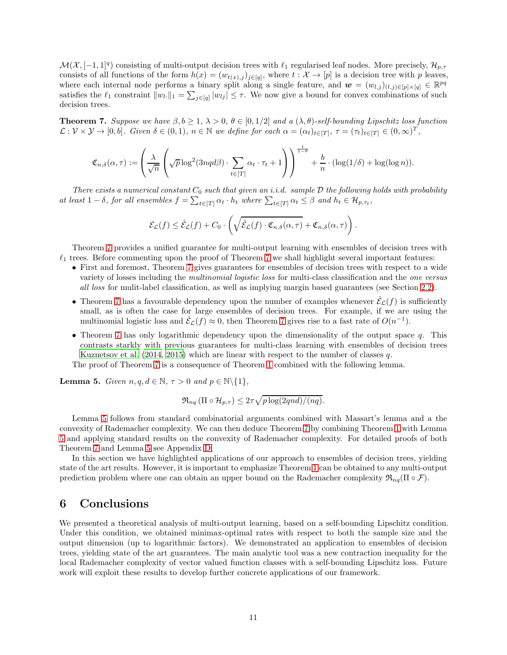$\mathcal{M}(\mathcal{X},[-1,1]^q)$  consisting of multi-output decision trees with  $\ell_1$  regularised leaf nodes. More precisely,  $\mathcal{H}_{p,\tau}$ consists of all functions of the form  $h(x) = (w_{t(x),j})_{j \in [q]}$ , where  $t : \mathcal{X} \to [p]$  is a decision tree with p leaves, where each internal node performs a binary split along a single feature, and  $\mathbf{w} = (w_{l,j})_{(l,j) \in [p] \times [q]} \in \mathbb{R}^{pq}$ satisfies the  $\ell_1$  constraint  $||w_l||_1 = \sum_{j \in [q]} |w_{lj}| \leq \tau$ . We now give a bound for convex combinations of such decision trees.

<span id="page-10-0"></span>**Theorem 7.** Suppose we have  $\beta, b \geq 1, \lambda > 0, \theta \in [0, 1/2]$  and a  $(\lambda, \theta)$ -self-bounding Lipschitz loss function  $\mathcal{L}: \mathcal{V} \times \mathcal{Y} \to [0, b].$  Given  $\delta \in (0, 1), n \in \mathbb{N}$  we define for each  $\alpha = (\alpha_t)_{t \in [T]}, \tau = (\tau_t)_{t \in [T]} \in (0, \infty)^T$ ,

$$
\mathfrak{C}_{n,\delta}(\alpha,\tau) := \left(\frac{\lambda}{\sqrt{n}}\left(\sqrt{p}\log^2(3nqd\beta)\cdot \sum_{t\in[T]}\alpha_t\cdot\tau_t+1\right)\right)^{\frac{1}{1-\theta}}+\frac{b}{n}\cdot(\log(1/\delta)+\log(\log n)).
$$

There exists a numerical constant  $C_0$  such that given an i.i.d. sample  $\mathcal D$  the following holds with probability at least  $1-\delta$ , for all ensembles  $f = \sum_{t \in [T]} \alpha_t \cdot h_t$  where  $\sum_{t \in [T]} \alpha_t \leq \beta$  and  $h_t \in \mathcal{H}_{p,\tau_t}$ ,

$$
\mathcal{E}_{\mathcal{L}}(f) \leq \hat{\mathcal{E}}_{\mathcal{L}}(f) + C_0 \cdot \left( \sqrt{\hat{\mathcal{E}}_{\mathcal{L}}(f) \cdot \mathfrak{C}_{n,\delta}(\alpha,\tau)} + \mathfrak{C}_{n,\delta}(\alpha,\tau) \right).
$$

Theorem [7](#page-10-0) provides a unified guarantee for multi-output learning with ensembles of decision trees with  $\ell_1$  trees. Before commenting upon the proof of Theorem [7](#page-10-0) we shall highlight several important features:

- First and foremost, Theorem [7](#page-10-0) gives guarantees for ensembles of decision trees with respect to a wide variety of losses including the multinomial logistic loss for multi-class classification and the one versus all loss for mulit-label classification, as well as implying margin based guarantees (see Section [2.2\)](#page-2-3).
- Theorem [7](#page-10-0) has a favourable dependency upon the number of examples whenever  $\mathcal{E}_{\mathcal{L}}(f)$  is sufficiently small, as is often the case for large ensembles of decision trees. For example, if we are using the multinomial logistic loss and  $\hat{\mathcal{E}}_{\mathcal{L}}(f) \approx 0$ , then Theorem [7](#page-10-0) gives rise to a fast rate of  $O(n^{-1})$ .
- Theorem [7](#page-10-0) has only logarithmic dependency upon the dimensionality of the output space  $q$ . This contrasts starkly with previous guarantees for multi-class learning with ensembles of decision trees [Kuznetsov et al. \(2014,](#page-12-18) [2015\)](#page-13-0) which are linear with respect to the number of classes q.

The proof of Theorem [7](#page-10-0) is a consequence of Theorem [1](#page-4-0) combined with the following lemma.

<span id="page-10-1"></span>**Lemma 5.** Given  $n, q, d \in \mathbb{N}, \tau > 0$  and  $p \in \mathbb{N} \setminus \{1\},\$ 

$$
\Re_{nq} (\Pi \circ \mathcal{H}_{p,\tau}) \leq 2\tau \sqrt{p \log(2qnd)/(nq)}.
$$

Lemma [5](#page-10-1) follows from standard combinatorial arguments combined with Massart's lemma and a the convexity of Rademacher complexity. We can then deduce Theorem [7](#page-10-0) by combining Theorem [1](#page-4-0) with Lemma [5](#page-10-1) and applying standard results on the convexity of Rademacher complexity. For detailed proofs of both Theorem [7](#page-10-0) and Lemma [5](#page-10-1) see Appendix [D.](#page-25-0)

In this section we have highlighted applications of our approach to ensembles of decision trees, yielding state of the art results. However, it is important to emphasize Theorem [1](#page-4-0) can be obtained to any multi-output prediction problem where one can obtain an upper bound on the Rademacher complexity  $\mathfrak{R}_{nq}(\Pi \circ \mathcal{F})$ .

## 6 Conclusions

We presented a theoretical analysis of multi-output learning, based on a self-bounding Lipschitz condition. Under this condition, we obtained minimax-optimal rates with respect to both the sample size and the output dimension (up to logarithmic factors). We demonstrated an application to ensembles of decision trees, yielding state of the art guarantees. The main analytic tool was a new contraction inequality for the local Rademacher complexity of vector valued function classes with a self-bounding Lipschitz loss. Future work will exploit these results to develop further concrete applications of our framework.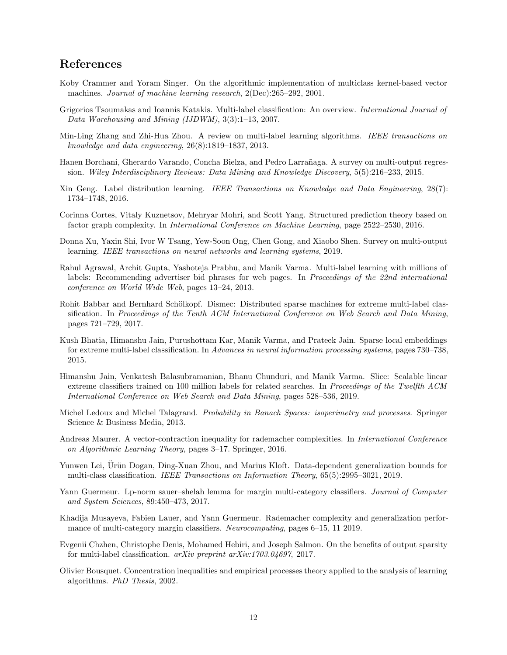## References

- <span id="page-11-0"></span>Koby Crammer and Yoram Singer. On the algorithmic implementation of multiclass kernel-based vector machines. Journal of machine learning research, 2(Dec):265–292, 2001.
- <span id="page-11-1"></span>Grigorios Tsoumakas and Ioannis Katakis. Multi-label classification: An overview. International Journal of Data Warehousing and Mining (IJDWM), 3(3):1–13, 2007.
- <span id="page-11-2"></span>Min-Ling Zhang and Zhi-Hua Zhou. A review on multi-label learning algorithms. IEEE transactions on knowledge and data engineering, 26(8):1819–1837, 2013.
- <span id="page-11-3"></span>Hanen Borchani, Gherardo Varando, Concha Bielza, and Pedro Larrañaga. A survey on multi-output regression. Wiley Interdisciplinary Reviews: Data Mining and Knowledge Discovery, 5(5):216–233, 2015.
- <span id="page-11-4"></span>Xin Geng. Label distribution learning. IEEE Transactions on Knowledge and Data Engineering, 28(7): 1734–1748, 2016.
- <span id="page-11-5"></span>Corinna Cortes, Vitaly Kuznetsov, Mehryar Mohri, and Scott Yang. Structured prediction theory based on factor graph complexity. In International Conference on Machine Learning, page 2522–2530, 2016.
- <span id="page-11-6"></span>Donna Xu, Yaxin Shi, Ivor W Tsang, Yew-Soon Ong, Chen Gong, and Xiaobo Shen. Survey on multi-output learning. IEEE transactions on neural networks and learning systems, 2019.
- <span id="page-11-7"></span>Rahul Agrawal, Archit Gupta, Yashoteja Prabhu, and Manik Varma. Multi-label learning with millions of labels: Recommending advertiser bid phrases for web pages. In Proceedings of the 22nd international conference on World Wide Web, pages 13–24, 2013.
- <span id="page-11-8"></span>Rohit Babbar and Bernhard Schölkopf. Dismec: Distributed sparse machines for extreme multi-label classification. In Proceedings of the Tenth ACM International Conference on Web Search and Data Mining, pages 721–729, 2017.
- <span id="page-11-9"></span>Kush Bhatia, Himanshu Jain, Purushottam Kar, Manik Varma, and Prateek Jain. Sparse local embeddings for extreme multi-label classification. In Advances in neural information processing systems, pages 730–738, 2015.
- <span id="page-11-10"></span>Himanshu Jain, Venkatesh Balasubramanian, Bhanu Chunduri, and Manik Varma. Slice: Scalable linear extreme classifiers trained on 100 million labels for related searches. In Proceedings of the Twelfth ACM International Conference on Web Search and Data Mining, pages 528–536, 2019.
- <span id="page-11-11"></span>Michel Ledoux and Michel Talagrand. Probability in Banach Spaces: isoperimetry and processes. Springer Science & Business Media, 2013.
- <span id="page-11-12"></span>Andreas Maurer. A vector-contraction inequality for rademacher complexities. In International Conference on Algorithmic Learning Theory, pages 3–17. Springer, 2016.
- <span id="page-11-13"></span>Yunwen Lei, Urün Dogan, Ding-Xuan Zhou, and Marius Kloft. Data-dependent generalization bounds for multi-class classification. IEEE Transactions on Information Theory, 65(5):2995–3021, 2019.
- <span id="page-11-14"></span>Yann Guermeur. Lp-norm sauer–shelah lemma for margin multi-category classifiers. Journal of Computer and System Sciences, 89:450–473, 2017.
- <span id="page-11-15"></span>Khadija Musayeva, Fabien Lauer, and Yann Guermeur. Rademacher complexity and generalization performance of multi-category margin classifiers. Neurocomputing, pages 6–15, 11 2019.
- <span id="page-11-16"></span>Evgenii Chzhen, Christophe Denis, Mohamed Hebiri, and Joseph Salmon. On the benefits of output sparsity for multi-label classification. arXiv preprint arXiv:1703.04697, 2017.
- <span id="page-11-17"></span>Olivier Bousquet. Concentration inequalities and empirical processes theory applied to the analysis of learning algorithms. PhD Thesis, 2002.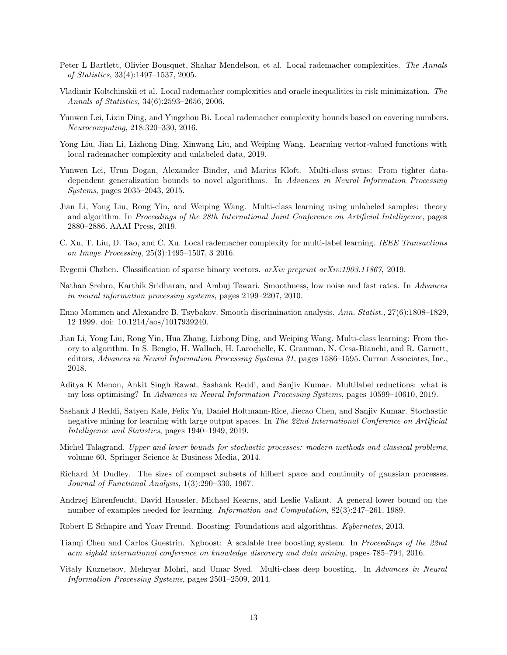- <span id="page-12-0"></span>Peter L Bartlett, Olivier Bousquet, Shahar Mendelson, et al. Local rademacher complexities. The Annals of Statistics, 33(4):1497–1537, 2005.
- <span id="page-12-1"></span>Vladimir Koltchinskii et al. Local rademacher complexities and oracle inequalities in risk minimization. The Annals of Statistics, 34(6):2593–2656, 2006.
- <span id="page-12-2"></span>Yunwen Lei, Lixin Ding, and Yingzhou Bi. Local rademacher complexity bounds based on covering numbers. Neurocomputing, 218:320–330, 2016.
- <span id="page-12-3"></span>Yong Liu, Jian Li, Lizhong Ding, Xinwang Liu, and Weiping Wang. Learning vector-valued functions with local rademacher complexity and unlabeled data, 2019.
- <span id="page-12-4"></span>Yunwen Lei, Urun Dogan, Alexander Binder, and Marius Kloft. Multi-class svms: From tighter datadependent generalization bounds to novel algorithms. In Advances in Neural Information Processing Systems, pages 2035–2043, 2015.
- <span id="page-12-5"></span>Jian Li, Yong Liu, Rong Yin, and Weiping Wang. Multi-class learning using unlabeled samples: theory and algorithm. In Proceedings of the 28th International Joint Conference on Artificial Intelligence, pages 2880–2886. AAAI Press, 2019.
- <span id="page-12-6"></span>C. Xu, T. Liu, D. Tao, and C. Xu. Local rademacher complexity for multi-label learning. IEEE Transactions on Image Processing, 25(3):1495–1507, 3 2016.
- <span id="page-12-7"></span>Evgenii Chzhen. Classification of sparse binary vectors. arXiv preprint arXiv:1903.11867, 2019.
- <span id="page-12-8"></span>Nathan Srebro, Karthik Sridharan, and Ambuj Tewari. Smoothness, low noise and fast rates. In Advances in neural information processing systems, pages 2199–2207, 2010.
- <span id="page-12-9"></span>Enno Mammen and Alexandre B. Tsybakov. Smooth discrimination analysis. Ann. Statist., 27(6):1808–1829, 12 1999. doi: 10.1214/aos/1017939240.
- <span id="page-12-10"></span>Jian Li, Yong Liu, Rong Yin, Hua Zhang, Lizhong Ding, and Weiping Wang. Multi-class learning: From theory to algorithm. In S. Bengio, H. Wallach, H. Larochelle, K. Grauman, N. Cesa-Bianchi, and R. Garnett, editors, Advances in Neural Information Processing Systems 31, pages 1586–1595. Curran Associates, Inc., 2018.
- <span id="page-12-11"></span>Aditya K Menon, Ankit Singh Rawat, Sashank Reddi, and Sanjiv Kumar. Multilabel reductions: what is my loss optimising? In Advances in Neural Information Processing Systems, pages 10599–10610, 2019.
- <span id="page-12-12"></span>Sashank J Reddi, Satyen Kale, Felix Yu, Daniel Holtmann-Rice, Jiecao Chen, and Sanjiv Kumar. Stochastic negative mining for learning with large output spaces. In The 22nd International Conference on Artificial Intelligence and Statistics, pages 1940–1949, 2019.
- <span id="page-12-13"></span>Michel Talagrand. Upper and lower bounds for stochastic processes: modern methods and classical problems, volume 60. Springer Science & Business Media, 2014.
- <span id="page-12-14"></span>Richard M Dudley. The sizes of compact subsets of hilbert space and continuity of gaussian processes. Journal of Functional Analysis, 1(3):290–330, 1967.
- <span id="page-12-15"></span>Andrzej Ehrenfeucht, David Haussler, Michael Kearns, and Leslie Valiant. A general lower bound on the number of examples needed for learning. Information and Computation, 82(3):247–261, 1989.
- <span id="page-12-16"></span>Robert E Schapire and Yoav Freund. Boosting: Foundations and algorithms. Kybernetes, 2013.
- <span id="page-12-17"></span>Tianqi Chen and Carlos Guestrin. Xgboost: A scalable tree boosting system. In Proceedings of the 22nd acm sigkdd international conference on knowledge discovery and data mining, pages 785–794, 2016.
- <span id="page-12-18"></span>Vitaly Kuznetsov, Mehryar Mohri, and Umar Syed. Multi-class deep boosting. In Advances in Neural Information Processing Systems, pages 2501–2509, 2014.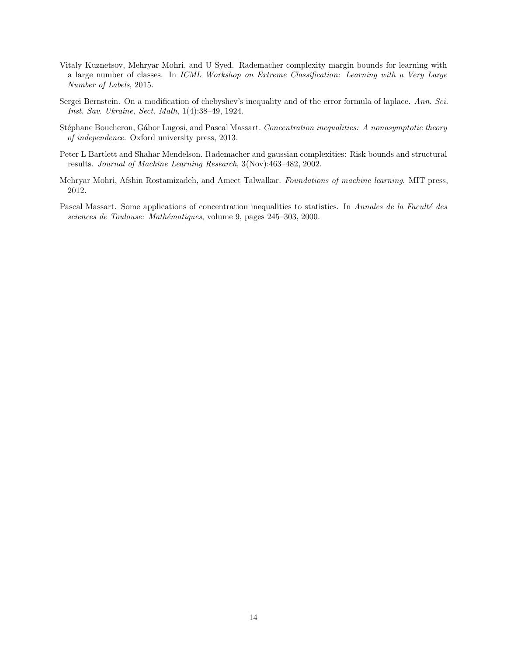- <span id="page-13-0"></span>Vitaly Kuznetsov, Mehryar Mohri, and U Syed. Rademacher complexity margin bounds for learning with a large number of classes. In ICML Workshop on Extreme Classification: Learning with a Very Large Number of Labels, 2015.
- <span id="page-13-1"></span>Sergei Bernstein. On a modification of chebyshev's inequality and of the error formula of laplace. Ann. Sci. Inst. Sav. Ukraine, Sect. Math, 1(4):38–49, 1924.
- <span id="page-13-2"></span>Stéphane Boucheron, Gábor Lugosi, and Pascal Massart. Concentration inequalities: A nonasymptotic theory of independence. Oxford university press, 2013.
- <span id="page-13-3"></span>Peter L Bartlett and Shahar Mendelson. Rademacher and gaussian complexities: Risk bounds and structural results. Journal of Machine Learning Research, 3(Nov):463–482, 2002.
- <span id="page-13-4"></span>Mehryar Mohri, Afshin Rostamizadeh, and Ameet Talwalkar. Foundations of machine learning. MIT press, 2012.
- <span id="page-13-5"></span>Pascal Massart. Some applications of concentration inequalities to statistics. In Annales de la Faculté des sciences de Toulouse: Mathématiques, volume 9, pages 245-303, 2000.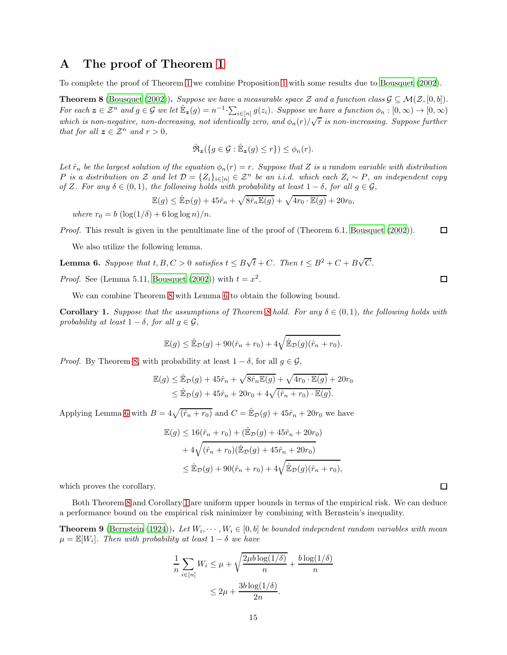### <span id="page-14-0"></span>A The proof of Theorem [1](#page-4-0)

To complete the proof of Theorem [1](#page-4-0) we combine Proposition [1](#page-6-0) with some results due to [Bousquet \(2002](#page-11-17)).

<span id="page-14-1"></span>**Theorem 8** [\(Bousquet \(2002](#page-11-17))). Suppose we have a measurable space Z and a function class  $\mathcal{G} \subseteq \mathcal{M}(\mathcal{Z}, [0, b])$ . For each  $z \in \mathcal{Z}^n$  and  $g \in \mathcal{G}$  we let  $\mathbb{E}_z(g) = n^{-1} \cdot \sum_{i \in [n]} g(z_i)$ . Suppose we have a function  $\phi_n : [0, \infty) \to [0, \infty)$ which is non-negative, non-decreasing, not identically zero, and  $\phi_n(r)/\sqrt{r}$  is non-increasing. Suppose further that for all  $z \in \mathcal{Z}^n$  and  $r > 0$ ,

$$
\hat{\mathfrak{R}}_{\mathbf{z}}(\{g \in \mathcal{G} : \mathbb{\hat{E}}_{\mathbf{z}}(g) \le r\}) \le \phi_n(r).
$$

Let  $\hat{r}_n$  be the largest solution of the equation  $\phi_n(r) = r$ . Suppose that Z is a random variable with distribution P is a distribution on Z and let  $\mathcal{D} = \{Z_i\}_{i \in [n]} \in \mathcal{Z}^n$  be an i.i.d. which each  $Z_i \sim P$ , an independent copy of Z. For any  $\delta \in (0,1)$ , the following holds with probability at least  $1-\delta$ , for all  $g \in \mathcal{G}$ ,

$$
\mathbb{E}(g) \le \hat{\mathbb{E}}_{\mathcal{D}}(g) + 45\hat{r}_n + \sqrt{8\hat{r}_n \mathbb{E}(g)} + \sqrt{4r_0 \cdot \mathbb{E}(g)} + 20r_0,
$$

where  $r_0 = b \left( \log(1/\delta) + 6 \log \log n \right) / n$ .

Proof. This result is given in the penultimate line of the proof of (Theorem 6.1, [Bousquet \(2002](#page-11-17))).  $\Box$ 

We also utilize the following lemma.

<span id="page-14-2"></span>**Lemma 6.** Suppose that  $t, B, C > 0$  satisfies  $t \leq B\sqrt{t} + C$ . Then  $t \leq B^2 + C + B\sqrt{C}$ .

*Proof.* See (Lemma 5.11, [Bousquet \(2002\)](#page-11-17)) with  $t = x^2$ .

We can combine Theorem [8](#page-14-1) with Lemma [6](#page-14-2) to obtain the following bound.

<span id="page-14-3"></span>**Corollary 1.** Suppose that the assumptions of Theorem [8](#page-14-1) hold. For any  $\delta \in (0,1)$ , the following holds with probability at least  $1 - \delta$ , for all  $g \in \mathcal{G}$ ,

$$
\mathbb{E}(g) \leq \hat{\mathbb{E}}_{\mathcal{D}}(g) + 90(\hat{r}_n + r_0) + 4\sqrt{\hat{\mathbb{E}}_{\mathcal{D}}(g)(\hat{r}_n + r_0)}.
$$

*Proof.* By Theorem [8,](#page-14-1) with probability at least  $1 - \delta$ , for all  $g \in \mathcal{G}$ ,

$$
\mathbb{E}(g) \leq \hat{\mathbb{E}}_{\mathcal{D}}(g) + 45\hat{r}_n + \sqrt{8\hat{r}_n \mathbb{E}(g)} + \sqrt{4r_0 \cdot \mathbb{E}(g)} + 20r_0
$$
  

$$
\leq \hat{\mathbb{E}}_{\mathcal{D}}(g) + 45\hat{r}_n + 20r_0 + 4\sqrt{(\hat{r}_n + r_0) \cdot \mathbb{E}(g)}.
$$

Applying Lemma [6](#page-14-2) with  $B = 4\sqrt{(\hat{r}_n + r_0)}$  and  $C = \mathbb{E}_{\mathcal{D}}(g) + 45\hat{r}_n + 20r_0$  we have

$$
\mathbb{E}(g) \le 16(\hat{r}_n + r_0) + (\hat{\mathbb{E}}_{\mathcal{D}}(g) + 45\hat{r}_n + 20r_0) + 4\sqrt{(\hat{r}_n + r_0)(\hat{\mathbb{E}}_{\mathcal{D}}(g) + 45\hat{r}_n + 20r_0)} \le \hat{\mathbb{E}}_{\mathcal{D}}(g) + 90(\hat{r}_n + r_0) + 4\sqrt{\hat{\mathbb{E}}_{\mathcal{D}}(g)(\hat{r}_n + r_0)},
$$

which proves the corollary.

Both Theorem [8](#page-14-1) and Corollary [1](#page-14-3) are uniform upper bounds in terms of the empirical risk. We can deduce a performance bound on the empirical risk minimizer by combining with Bernstein's inequality.

<span id="page-14-4"></span>**Theorem 9** [\(Bernstein \(1924](#page-13-1))). Let  $W_i, \dots, W_i \in [0, b]$  be bounded independent random variables with mean  $\mu = \mathbb{E}[W_i]$ . Then with probability at least  $1 - \delta$  we have

$$
\frac{1}{n} \sum_{i \in [n]} W_i \le \mu + \sqrt{\frac{2\mu b \log(1/\delta)}{n}} + \frac{b \log(1/\delta)}{n}
$$

$$
\le 2\mu + \frac{3b \log(1/\delta)}{2n}.
$$

□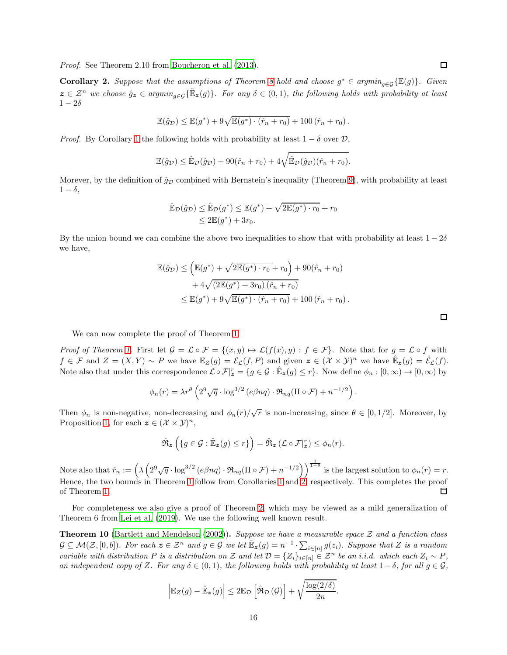Proof. See Theorem 2.10 from [Boucheron et al. \(2013](#page-13-2)).

<span id="page-15-0"></span>**Corollary 2.** Suppose that the assumptions of Theorem [8](#page-14-1) hold and choose  $g^* \in argmin_{g \in \mathcal{G}} \{ \mathbb{E}(g) \}$ . Given  $z \in \mathcal{Z}^n$  we choose  $\hat{g}_z \in argmin_{g \in \mathcal{G}} \{\hat{\mathbb{E}}_z(g)\}\$ . For any  $\delta \in (0,1)$ , the following holds with probability at least  $1-2\delta$ 

$$
\mathbb{E}(\hat{g}_{\mathcal{D}}) \leq \mathbb{E}(g^*) + 9\sqrt{\mathbb{E}(g^*) \cdot (\hat{r}_n + r_0)} + 100 (\hat{r}_n + r_0).
$$

*Proof.* By Corollary [1](#page-14-3) the following holds with probability at least  $1 - \delta$  over  $\mathcal{D}$ ,

$$
\mathbb{E}(\hat{g}_{\mathcal{D}}) \leq \hat{\mathbb{E}}_{\mathcal{D}}(\hat{g}_{\mathcal{D}}) + 90(\hat{r}_n + r_0) + 4\sqrt{\hat{\mathbb{E}}_{\mathcal{D}}(\hat{g}_{\mathcal{D}})(\hat{r}_n + r_0)}.
$$

Morever, by the definition of  $\hat{g}_D$  combined with Bernstein's inequality (Theorem [9\)](#page-14-4), with probability at least  $1 - \delta$ ,

$$
\hat{\mathbb{E}}_{\mathcal{D}}(\hat{g}_{\mathcal{D}}) \leq \hat{\mathbb{E}}_{\mathcal{D}}(g^*) \leq \mathbb{E}(g^*) + \sqrt{2\mathbb{E}(g^*) \cdot r_0} + r_0
$$
  

$$
\leq 2\mathbb{E}(g^*) + 3r_0.
$$

By the union bound we can combine the above two inequalities to show that with probability at least  $1 - 2\delta$ we have,

$$
\mathbb{E}(\hat{g}_{\mathcal{D}}) \leq \left( \mathbb{E}(g^*) + \sqrt{2\mathbb{E}(g^*) \cdot r_0} + r_0 \right) + 90(\hat{r}_n + r_0) + 4\sqrt{(2\mathbb{E}(g^*) + 3r_0)(\hat{r}_n + r_0)} \leq \mathbb{E}(g^*) + 9\sqrt{\mathbb{E}(g^*) \cdot (\hat{r}_n + r_0)} + 100(\hat{r}_n + r_0).
$$

We can now complete the proof of Theorem [1.](#page-4-0)

*Proof of Theorem [1.](#page-4-0)* First let  $\mathcal{G} = \mathcal{L} \circ \mathcal{F} = \{(x, y) \mapsto \mathcal{L}(f(x), y) : f \in \mathcal{F}\}\.$  Note that for  $g = \mathcal{L} \circ f$  with  $f \in \mathcal{F}$  and  $Z = (X, Y) \sim P$  we have  $\mathbb{E}_Z(g) = \mathcal{E}_\mathcal{L}(f, P)$  and given  $\mathbf{z} \in (\mathcal{X} \times \mathcal{Y})^n$  we have  $\mathbb{E}_\mathbf{z}(g) = \mathcal{E}_\mathcal{L}(f)$ . Note also that under this correspondence  $\mathcal{L} \circ \mathcal{F}|_{\mathbf{z}}^r = \{ g \in \mathcal{G} : \mathbb{E}_{\mathbf{z}}(g) \leq r \}.$  Now define  $\phi_n : [0, \infty) \to [0, \infty)$  by

$$
\phi_n(r) = \lambda r^{\theta} \left( 2^9 \sqrt{q} \cdot \log^{3/2} (e \beta nq) \cdot \mathfrak{R}_{nq}(\Pi \circ \mathcal{F}) + n^{-1/2} \right).
$$

Then  $\phi_n$  is non-negative, non-decreasing and  $\phi_n(r)/\sqrt{r}$  is non-increasing, since  $\theta \in [0,1/2]$ . Moreover, by Proposition [1,](#page-6-0) for each  $\boldsymbol{z} \in (\mathcal{X} \times \mathcal{Y})^n$ ,

$$
\hat{\mathfrak{R}}_{\mathbf{z}}\left(\{g \in \mathcal{G} : \mathbb{\hat{E}}_{\mathbf{z}}(g) \leq r\}\right) = \hat{\mathfrak{R}}_{\mathbf{z}}\left(\mathcal{L} \circ \mathcal{F}|_{\mathbf{z}}^r\right) \leq \phi_n(r).
$$

Note also that  $\hat{r}_n := \left(\lambda \left(2^9 \sqrt{q} \cdot \log^{3/2} (e \beta nq) \cdot \Re_{nq} (\Pi \circ \mathcal{F}) + n^{-1/2}\right)\right)^{\frac{1}{1-\theta}}$  is the largest solution to  $\phi_n(r) = r$ . Hence, the two bounds in Theorem [1](#page-14-3) follow from Corollaries 1 and [2,](#page-15-0) respectively. This completes the proof of Theorem [1.](#page-4-0)  $\Box$ 

For completeness we also give a proof of Theorem [2,](#page-5-0) which may be viewed as a mild generalization of Theorem 6 from [Lei et al. \(2019\)](#page-11-13). We use the following well known result.

<span id="page-15-1"></span>**Theorem 10** [\(Bartlett and Mendelson \(2002\)](#page-13-3)). Suppose we have a measurable space  $Z$  and a function class  $\mathcal{G} \subseteq \mathcal{M}(\mathcal{Z}, [0, b])$ . For each  $\boldsymbol{z} \in \mathcal{Z}^n$  and  $g \in \mathcal{G}$  we let  $\mathbb{E}_{\boldsymbol{z}}(g) = n^{-1} \cdot \sum_{i \in [n]} g(z_i)$ . Suppose that Z is a random variable with distribution P is a distribution on Z and let  $\mathcal{D} = \{Z_i\}_{i \in [n]} \in \mathcal{Z}^n$  be an i.i.d. which each  $Z_i \sim P$ , an independent copy of Z. For any  $\delta \in (0,1)$ , the following holds with probability at least  $1-\delta$ , for all  $g \in \mathcal{G}$ ,

$$
\left| \mathbb{E}_Z(g) - \hat{\mathbb{E}}_{\bm{z}}(g) \right| \leq 2 \mathbb{E}_{\mathcal{D}} \left[ \hat{\mathfrak{R}}_{\mathcal{D}}(\mathcal{G}) \right] + \sqrt{\frac{\log(2/\delta)}{2n}}.
$$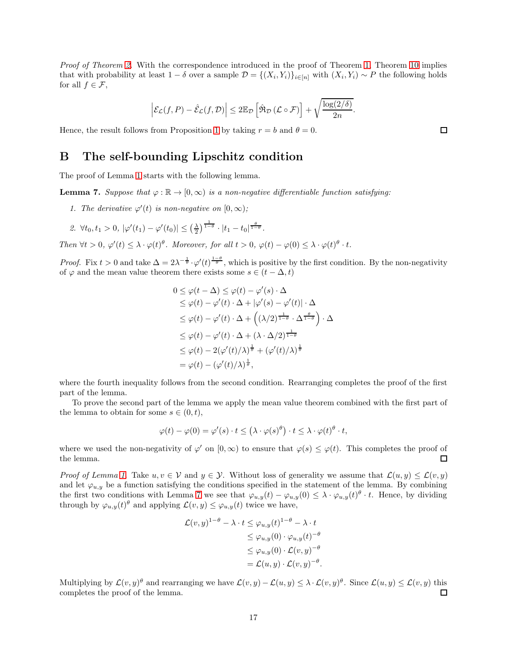Proof of Theorem [2.](#page-5-0) With the correspondence introduced in the proof of Theorem [1,](#page-4-0) Theorem [10](#page-15-1) implies that with probability at least  $1 - \delta$  over a sample  $\mathcal{D} = \{(X_i, Y_i)\}_{i \in [n]}$  with  $(X_i, Y_i) \sim P$  the following holds for all  $f \in \mathcal{F}$ ,

$$
\left|\mathcal{E}_{\mathcal{L}}(f,P) - \hat{\mathcal{E}}_{\mathcal{L}}(f,\mathcal{D})\right| \leq 2\mathbb{E}_{\mathcal{D}}\left[\hat{\mathfrak{R}}_{\mathcal{D}}\left(\mathcal{L}\circ\mathcal{F}\right)\right] + \sqrt{\frac{\log(2/\delta)}{2n}}.
$$

<span id="page-16-0"></span>Hence, the result follows from Proposition [1](#page-6-0) by taking  $r = b$  and  $\theta = 0$ .

### B The self-bounding Lipschitz condition

The proof of Lemma [1](#page-2-1) starts with the following lemma.

<span id="page-16-1"></span>**Lemma 7.** Suppose that  $\varphi : \mathbb{R} \to [0, \infty)$  is a non-negative differentiable function satisfying:

1. The derivative  $\varphi'(t)$  is non-negative on  $[0,\infty)$ ;

2. 
$$
\forall t_0, t_1 > 0, |\varphi'(t_1) - \varphi'(t_0)| \leq (\frac{\lambda}{2})^{\frac{1}{1-\theta}} \cdot |t_1 - t_0|^{\frac{\theta}{1-\theta}}.
$$

Then  $\forall t > 0$ ,  $\varphi'(t) \leq \lambda \cdot \varphi(t)^{\theta}$ . Moreover, for all  $t > 0$ ,  $\varphi(t) - \varphi(0) \leq \lambda \cdot \varphi(t)^{\theta} \cdot t$ .

*Proof.* Fix  $t > 0$  and take  $\Delta = 2\lambda^{-\frac{1}{\theta}} \cdot \varphi'(t)^{\frac{1-\theta}{\theta}}$ , which is positive by the first condition. By the non-negativity of  $\varphi$  and the mean value theorem there exists some  $s \in (t - \Delta, t)$ 

$$
0 \leq \varphi(t - \Delta) \leq \varphi(t) - \varphi'(s) \cdot \Delta
$$
  
\n
$$
\leq \varphi(t) - \varphi'(t) \cdot \Delta + |\varphi'(s) - \varphi'(t)| \cdot \Delta
$$
  
\n
$$
\leq \varphi(t) - \varphi'(t) \cdot \Delta + ((\lambda/2)^{\frac{1}{1-\theta}} \cdot \Delta^{\frac{\theta}{1-\theta}}) \cdot \Delta
$$
  
\n
$$
\leq \varphi(t) - \varphi'(t) \cdot \Delta + (\lambda \cdot \Delta/2)^{\frac{1}{1-\theta}}
$$
  
\n
$$
\leq \varphi(t) - 2(\varphi'(t)/\lambda)^{\frac{1}{\theta}} + (\varphi'(t)/\lambda)^{\frac{1}{\theta}}
$$
  
\n
$$
= \varphi(t) - (\varphi'(t)/\lambda)^{\frac{1}{\theta}},
$$

where the fourth inequality follows from the second condition. Rearranging completes the proof of the first part of the lemma.

To prove the second part of the lemma we apply the mean value theorem combined with the first part of the lemma to obtain for some  $s \in (0, t)$ ,

$$
\varphi(t) - \varphi(0) = \varphi'(s) \cdot t \leq (\lambda \cdot \varphi(s)^{\theta}) \cdot t \leq \lambda \cdot \varphi(t)^{\theta} \cdot t,
$$

where we used the non-negativity of  $\varphi'$  on  $[0,\infty)$  to ensure that  $\varphi(s) \leq \varphi(t)$ . This completes the proof of the lemma.

*Proof of Lemma [1.](#page-2-1)* Take  $u, v \in V$  and  $y \in V$ . Without loss of generality we assume that  $\mathcal{L}(u, y) \leq \mathcal{L}(v, y)$ and let  $\varphi_{u,y}$  be a function satisfying the conditions specified in the statement of the lemma. By combining the first two conditions with Lemma [7](#page-16-1) we see that  $\varphi_{u,y}(t) - \varphi_{u,y}(0) \leq \lambda \cdot \varphi_{u,y}(t) - t$ . Hence, by dividing through by  $\varphi_{u,y}(t)^\theta$  and applying  $\mathcal{L}(v, y) \leq \varphi_{u,y}(t)$  twice we have,

$$
\mathcal{L}(v, y)^{1-\theta} - \lambda \cdot t \leq \varphi_{u, y}(t)^{1-\theta} - \lambda \cdot t
$$
  
\n
$$
\leq \varphi_{u, y}(0) \cdot \varphi_{u, y}(t)^{-\theta}
$$
  
\n
$$
\leq \varphi_{u, y}(0) \cdot \mathcal{L}(v, y)^{-\theta}
$$
  
\n
$$
= \mathcal{L}(u, y) \cdot \mathcal{L}(v, y)^{-\theta}.
$$

Multiplying by  $\mathcal{L}(v, y)$ <sup> $\theta$ </sup> and rearranging we have  $\mathcal{L}(v, y) - \mathcal{L}(u, y) \leq \lambda \cdot \mathcal{L}(v, y)$ <sup> $\theta$ </sup>. Since  $\mathcal{L}(u, y) \leq \mathcal{L}(v, y)$  this completes the proof of the lemma.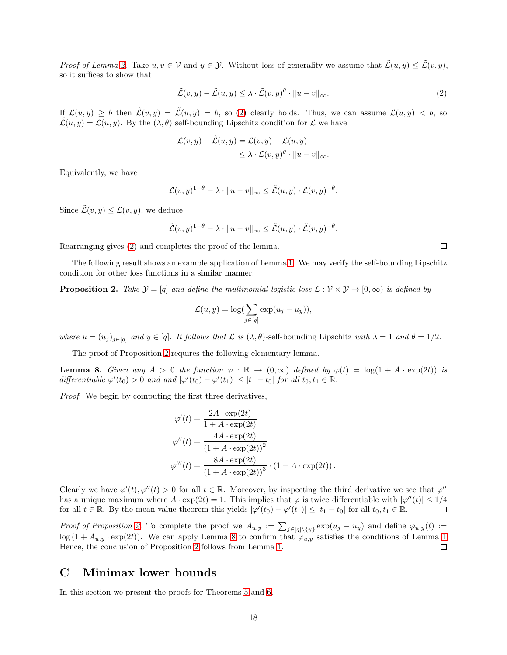*Proof of Lemma [2.](#page-2-0)* Take  $u, v \in V$  and  $y \in V$ . Without loss of generality we assume that  $\tilde{\mathcal{L}}(u, y) \leq \tilde{\mathcal{L}}(v, y)$ , so it suffices to show that

<span id="page-17-1"></span>
$$
\tilde{\mathcal{L}}(v, y) - \tilde{\mathcal{L}}(u, y) \leq \lambda \cdot \tilde{\mathcal{L}}(v, y)^{\theta} \cdot ||u - v||_{\infty}.
$$
\n(2)

If  $\mathcal{L}(u, y) \geq b$  then  $\tilde{\mathcal{L}}(v, y) = \tilde{\mathcal{L}}(u, y) = b$ , so [\(2\)](#page-17-1) clearly holds. Thus, we can assume  $\mathcal{L}(u, y) < b$ , so  $\mathcal{L}(u, y) = \mathcal{L}(u, y)$ . By the  $(\lambda, \theta)$  self-bounding Lipschitz condition for  $\mathcal{L}$  we have

$$
\mathcal{L}(v, y) - \tilde{\mathcal{L}}(u, y) = \mathcal{L}(v, y) - \mathcal{L}(u, y)
$$
  

$$
\leq \lambda \cdot \mathcal{L}(v, y)^{\theta} \cdot ||u - v||_{\infty}.
$$

Equivalently, we have

$$
\mathcal{L}(v, y)^{1-\theta} - \lambda \cdot ||u - v||_{\infty} \le \tilde{\mathcal{L}}(u, y) \cdot \mathcal{L}(v, y)^{-\theta}.
$$

Since  $\tilde{\mathcal{L}}(v, y) \leq \mathcal{L}(v, y)$ , we deduce

$$
\tilde{\mathcal{L}}(v, y)^{1-\theta} - \lambda \cdot ||u - v||_{\infty} \leq \tilde{\mathcal{L}}(u, y) \cdot \tilde{\mathcal{L}}(v, y)^{-\theta}.
$$

Rearranging gives [\(2\)](#page-17-1) and completes the proof of the lemma.

The following result shows an example application of Lemma [1.](#page-2-1) We may verify the self-bounding Lipschitz condition for other loss functions in a similar manner.

<span id="page-17-2"></span>**Proposition 2.** Take  $\mathcal{Y} = [q]$  and define the multinomial logistic loss  $\mathcal{L} : \mathcal{V} \times \mathcal{Y} \to [0, \infty)$  is defined by

$$
\mathcal{L}(u, y) = \log \left( \sum_{j \in [q]} \exp(u_j - u_y) \right),\,
$$

where  $u = (u_j)_{j \in [q]}$  and  $y \in [q]$ . It follows that  $\mathcal L$  is  $(\lambda, \theta)$ -self-bounding Lipschitz with  $\lambda = 1$  and  $\theta = 1/2$ .

The proof of Proposition [2](#page-17-2) requires the following elementary lemma.

<span id="page-17-3"></span>**Lemma 8.** Given any  $A > 0$  the function  $\varphi : \mathbb{R} \to (0, \infty)$  defined by  $\varphi(t) = \log(1 + A \cdot \exp(2t))$  is differentiable  $\varphi'(t_0) > 0$  and and  $|\varphi'(t_0) - \varphi'(t_1)| \leq |t_1 - t_0|$  for all  $t_0, t_1 \in \mathbb{R}$ .

Proof. We begin by computing the first three derivatives,

$$
\varphi'(t) = \frac{2A \cdot \exp(2t)}{1 + A \cdot \exp(2t)}
$$

$$
\varphi''(t) = \frac{4A \cdot \exp(2t)}{(1 + A \cdot \exp(2t))^2}
$$

$$
\varphi'''(t) = \frac{8A \cdot \exp(2t)}{(1 + A \cdot \exp(2t))^3} \cdot (1 - A \cdot \exp(2t)).
$$

Clearly we have  $\varphi'(t), \varphi''(t) > 0$  for all  $t \in \mathbb{R}$ . Moreover, by inspecting the third derivative we see that  $\varphi''$ has a unique maximum where  $A \cdot \exp(2t) = 1$ . This implies that  $\varphi$  is twice differentiable with  $|\varphi''(t)| \leq 1/4$ for all  $t \in \mathbb{R}$ . By the mean value theorem this yields  $|\varphi'(t_0) - \varphi'(t_1)| \leq |t_1 - t_0|$  for all  $t_0, t_1 \in \mathbb{R}$ .

Proof of Proposition [2.](#page-17-2) To complete the proof we  $A_{u,y} := \sum_{j\in[q]\setminus\{y\}} \exp(u_j - u_y)$  and define  $\varphi_{u,y}(t) :=$ log (1 +  $A_{u,y} \cdot \exp(2t)$ ). We can apply Lemma [8](#page-17-3) to confirm that  $\varphi_{u,y}$  satisfies the conditions of Lemma [1.](#page-2-1)<br>Hence, the conclusion of Proposition 2 follows from Lemma 1. Hence, the conclusion of Proposition [2](#page-17-2) follows from Lemma [1.](#page-2-1)

### <span id="page-17-0"></span>C Minimax lower bounds

In this section we present the proofs for Theorems [5](#page-9-0) and [6.](#page-9-2)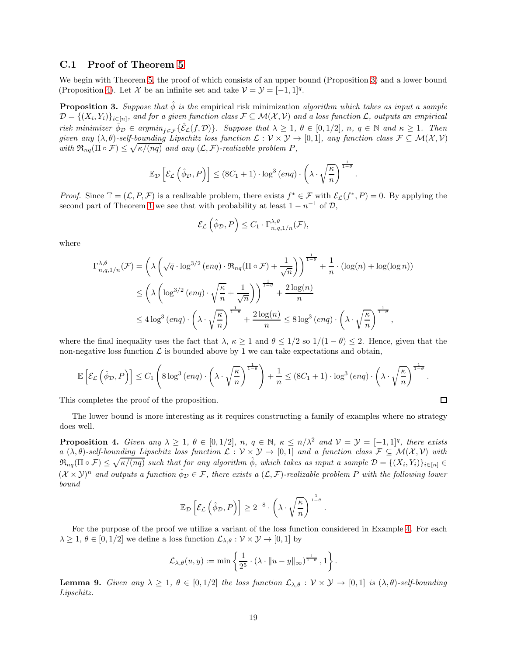### C.1 Proof of Theorem [5](#page-9-0)

We begin with Theorem [5,](#page-9-0) the proof of which consists of an upper bound (Proposition [3\)](#page-18-0) and a lower bound (Proposition [4\)](#page-18-1). Let  $\mathcal X$  be an infinite set and take  $\mathcal V = \mathcal Y = [-1,1]^q$ .

<span id="page-18-0"></span>**Proposition 3.** Suppose that  $\hat{\phi}$  is the empirical risk minimization algorithm which takes as input a sample  $\mathcal{D}=\{(X_i,Y_i)\}_{i\in[n]},$  and for a given function class  $\mathcal{F}\subseteq \mathcal{M}(\mathcal{X},\mathcal{V})$  and a loss function  $\mathcal{L},$  outputs an empirical risk minimizer  $\hat{\phi}_D \in \text{argmin}_{f \in \mathcal{F}} \{ \hat{\mathcal{E}}_L(f, D) \}.$  Suppose that  $\lambda \geq 1$ ,  $\theta \in [0, 1/2]$ ,  $n, q \in \mathbb{N}$  and  $\kappa \geq 1$ . Then given any  $(\lambda, \theta)$ -self-bounding Lipschitz loss function  $\mathcal{L}: \mathcal{V} \times \mathcal{Y} \to [0,1]$ , any function class  $\mathcal{F} \subseteq \mathcal{M}(\mathcal{X}, \mathcal{V})$ with  $\mathfrak{R}_{nq}(\Pi \circ \mathcal{F}) \leq \sqrt{\kappa/(nq)}$  and any  $(\mathcal{L}, \mathcal{F})$ -realizable problem P,

$$
\mathbb{E}_{\mathcal{D}}\left[\mathcal{E}_{\mathcal{L}}\left(\hat{\phi}_{\mathcal{D}}, P\right)\right] \leq (8C_1 + 1) \cdot \log^3\left(\exp\left(-\left(\lambda \cdot \sqrt{\frac{\kappa}{n}}\right)^{\frac{1}{1-\theta}}\right)\right).
$$

*Proof.* Since  $\mathbb{T} = (\mathcal{L}, P, \mathcal{F})$  is a realizable problem, there exists  $f^* \in \mathcal{F}$  with  $\mathcal{E}_{\mathcal{L}}(f^*, P) = 0$ . By applying the second part of Theorem [1](#page-4-0) we see that with probability at least  $1 - n^{-1}$  of  $\mathcal{D}$ ,

$$
\mathcal{E}_{\mathcal{L}}\left(\hat{\phi}_{\mathcal{D}}, P\right) \leq C_1 \cdot \Gamma^{\lambda, \theta}_{n, q, 1/n}(\mathcal{F}),
$$

where

$$
\Gamma_{n,q,1/n}^{\lambda,\theta}(\mathcal{F}) = \left(\lambda \left(\sqrt{q} \cdot \log^{3/2} (enq) \cdot \mathfrak{R}_{nq}(\Pi \circ \mathcal{F}) + \frac{1}{\sqrt{n}}\right)\right)^{\frac{1}{1-\theta}} + \frac{1}{n} \cdot (\log(n) + \log(\log n))
$$
  

$$
\leq \left(\lambda \left(\log^{3/2} (enq) \cdot \sqrt{\frac{\kappa}{n}} + \frac{1}{\sqrt{n}}\right)\right)^{\frac{1}{1-\theta}} + \frac{2\log(n)}{n}
$$
  

$$
\leq 4\log^3 (enq) \cdot \left(\lambda \cdot \sqrt{\frac{\kappa}{n}}\right)^{\frac{1}{1-\theta}} + \frac{2\log(n)}{n} \leq 8\log^3 (enq) \cdot \left(\lambda \cdot \sqrt{\frac{\kappa}{n}}\right)^{\frac{1}{1-\theta}},
$$

where the final inequality uses the fact that  $\lambda, \kappa \ge 1$  and  $\theta \le 1/2$  so  $1/(1 - \theta) \le 2$ . Hence, given that the non-negative loss function  $\mathcal L$  is bounded above by 1 we can take expectations and obtain,

$$
\mathbb{E}\left[\mathcal{E}_{\mathcal{L}}\left(\hat{\phi}_{\mathcal{D}}, P\right)\right] \leq C_1 \left(8 \log^3\left(\text{enq}\right) \cdot \left(\lambda \cdot \sqrt{\frac{\kappa}{n}}\right)^{\frac{1}{1-\theta}}\right) + \frac{1}{n} \leq (8C_1 + 1) \cdot \log^3\left(\text{enq}\right) \cdot \left(\lambda \cdot \sqrt{\frac{\kappa}{n}}\right)^{\frac{1}{1-\theta}}.
$$

This completes the proof of the proposition.

The lower bound is more interesting as it requires constructing a family of examples where no strategy does well.

<span id="page-18-1"></span>**Proposition 4.** Given any  $\lambda \geq 1$ ,  $\theta \in [0, 1/2]$ ,  $n, q \in \mathbb{N}$ ,  $\kappa \leq n/\lambda^2$  and  $\mathcal{V} = \mathcal{Y} = [-1, 1]^q$ , there exists a  $(\lambda, \theta)$ -self-bounding Lipschitz loss function  $\mathcal{L}: \mathcal{V} \times \mathcal{Y} \to [0,1]$  and a function class  $\mathcal{F} \subseteq \mathcal{M}(\mathcal{X}, \mathcal{V})$  with  $\mathfrak{R}_{nq}(\Pi \circ \mathcal{F}) \leq \sqrt{\kappa/(nq)}$  such that for any algorithm  $\hat{\phi}$ , which takes as input a sample  $\mathcal{D} = \{(X_i, Y_i)\}_{i \in [n]} \in$  $(X \times Y)^n$  and outputs a function  $\hat{\phi}_D \in \mathcal{F}$ , there exists a  $(\mathcal{L}, \mathcal{F})$ -realizable problem P with the following lower bound

$$
\mathbb{E}_{\mathcal{D}}\left[\mathcal{E}_{\mathcal{L}}\left(\hat{\phi}_{\mathcal{D}}, P\right)\right] \geq 2^{-8} \cdot \left(\lambda \cdot \sqrt{\frac{\kappa}{n}}\right)^{\frac{1}{1-\theta}}.
$$

For the purpose of the proof we utilize a variant of the loss function considered in Example [4.](#page-4-3) For each  $\lambda \geq 1, \theta \in [0, 1/2]$  we define a loss function  $\mathcal{L}_{\lambda,\theta} : \mathcal{V} \times \mathcal{Y} \to [0, 1]$  by

$$
\mathcal{L}_{\lambda,\theta}(u,y) := \min \left\{ \frac{1}{2^5} \cdot (\lambda \cdot ||u - y||_{\infty})^{\frac{1}{1-\theta}}, 1 \right\}.
$$

<span id="page-18-2"></span>**Lemma 9.** Given any  $\lambda \geq 1$ ,  $\theta \in [0, 1/2]$  the loss function  $\mathcal{L}_{\lambda,\theta} : \mathcal{V} \times \mathcal{Y} \to [0, 1]$  is  $(\lambda, \theta)$ -self-bounding Lipschitz.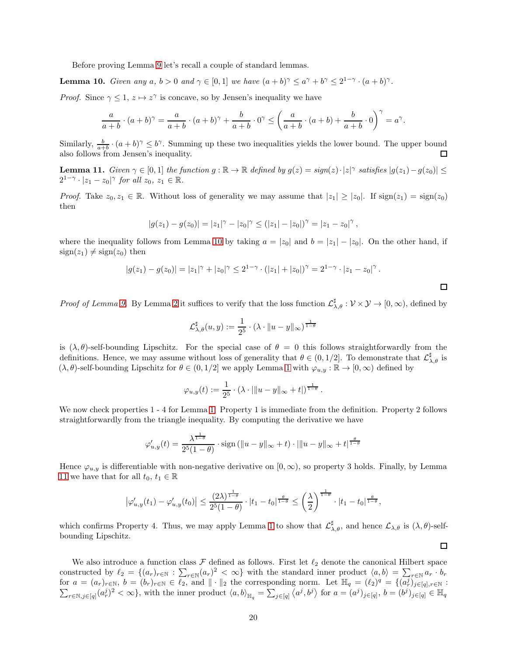Before proving Lemma [9](#page-18-2) let's recall a couple of standard lemmas.

<span id="page-19-0"></span>**Lemma 10.** Given any  $a, b > 0$  and  $\gamma \in [0, 1]$  we have  $(a + b)^{\gamma} \le a^{\gamma} + b^{\gamma} \le 2^{1-\gamma} \cdot (a + b)^{\gamma}$ .

*Proof.* Since  $\gamma \leq 1$ ,  $z \mapsto z^{\gamma}$  is concave, so by Jensen's inequality we have

$$
\frac{a}{a+b} \cdot (a+b)^{\gamma} = \frac{a}{a+b} \cdot (a+b)^{\gamma} + \frac{b}{a+b} \cdot 0^{\gamma} \le \left(\frac{a}{a+b} \cdot (a+b) + \frac{b}{a+b} \cdot 0\right)^{\gamma} = a^{\gamma}
$$

Similarly,  $\frac{b}{a+b} \cdot (a+b)^{\gamma} \leq b^{\gamma}$ . Summing up these two inequalities yields the lower bound. The upper bound also follows from Jensen's inequality.  $\Box$ 

<span id="page-19-1"></span>**Lemma 11.** Given  $\gamma \in [0,1]$  the function  $g : \mathbb{R} \to \mathbb{R}$  defined by  $g(z) = sign(z) \cdot |z|^\gamma$  satisfies  $|g(z_1) - g(z_0)| \le$  $2^{1-\gamma} \cdot |z_1-z_0|^{\gamma}$  for all  $z_0, z_1 \in \mathbb{R}$ .

*Proof.* Take  $z_0, z_1 \in \mathbb{R}$ . Without loss of generality we may assume that  $|z_1| \ge |z_0|$ . If  $sign(z_1) = sign(z_0)$ then

$$
|g(z_1)-g(z_0)|=|z_1|^{\gamma}-|z_0|^{\gamma}\leq (|z_1|-|z_0|)^{\gamma}=|z_1-z_0|^{\gamma},
$$

where the inequality follows from Lemma [10](#page-19-0) by taking  $a = |z_0|$  and  $b = |z_1| - |z_0|$ . On the other hand, if  $sign(z_1) \neq sign(z_0)$  then

$$
|g(z_1) - g(z_0)| = |z_1|^{\gamma} + |z_0|^{\gamma} \le 2^{1-\gamma} \cdot (|z_1| + |z_0|)^{\gamma} = 2^{1-\gamma} \cdot |z_1 - z_0|^{\gamma}.
$$

Proof of Lemma [9.](#page-18-2) By Lemma [2](#page-2-0) it suffices to verify that the loss function  $\mathcal{L}_{\lambda,\theta}^{\sharp}: \mathcal{V} \times \mathcal{Y} \to [0,\infty)$ , defined by

$$
\mathcal{L}_{\lambda,\theta}^{\sharp}(u,y) := \frac{1}{2^5} \cdot (\lambda \cdot ||u - y||_{\infty})^{\frac{1}{1-\theta}}
$$

is  $(\lambda, \theta)$ -self-bounding Lipschitz. For the special case of  $\theta = 0$  this follows straightforwardly from the definitions. Hence, we may assume without loss of generality that  $\theta \in (0, 1/2]$ . To demonstrate that  $\mathcal{L}^{\sharp}_{\lambda, \theta}$  is  $(\lambda, \theta)$ -self-bounding Lipschitz for  $\theta \in (0, 1/2]$  $\theta \in (0, 1/2]$  $\theta \in (0, 1/2]$  we apply Lemma 1 with  $\varphi_{u,y} : \mathbb{R} \to [0, \infty)$  defined by

$$
\varphi_{u,y}(t) := \frac{1}{2^5} \cdot (\lambda \cdot |||u - y||_{\infty} + t|)^{\frac{1}{1-\theta}}.
$$

We now check properties  $1 - 4$  for Lemma [1.](#page-2-1) Property 1 is immediate from the definition. Property 2 follows straightforwardly from the triangle inequality. By computing the derivative we have

$$
\varphi_{u,y}'(t) = \frac{\lambda^{\frac{1}{1-\theta}}}{2^5(1-\theta)} \cdot \text{sign}\left(\|u-y\|_{\infty} + t\right) \cdot \|\|u-y\|_{\infty} + t^{\frac{\theta}{1-\theta}}
$$

Hence  $\varphi_{u,y}$  is differentiable with non-negative derivative on  $[0,\infty)$ , so property 3 holds. Finally, by Lemma [11](#page-19-1) we have that for all  $t_0, t_1 \in \mathbb{R}$ 

$$
\left|\varphi_{u,y}'(t_1) - \varphi_{u,y}'(t_0)\right| \leq \frac{(2\lambda)^{\frac{1}{1-\theta}}}{2^5(1-\theta)} \cdot |t_1 - t_0|^{\frac{\theta}{1-\theta}} \leq \left(\frac{\lambda}{2}\right)^{\frac{1}{1-\theta}} \cdot |t_1 - t_0|^{\frac{\theta}{1-\theta}},
$$

which confirms Property 4. Thus, we may apply Lemma [1](#page-2-1) to show that  $\mathcal{L}_{\lambda,\theta}^{\sharp}$ , and hence  $\mathcal{L}_{\lambda,\theta}$  is  $(\lambda,\theta)$ -selfbounding Lipschitz.

 $\Box$ 

.

We also introduce a function class  $\mathcal F$  defined as follows. First let  $\ell_2$  denote the canonical Hilbert space constructed by  $\ell_2 = \{(a_r)_{r \in \mathbb{N}} : \sum_{r \in \mathbb{N}} (a_r)^2 < \infty\}$  with the standard inner product  $\langle a, b \rangle = \sum_{r \in \mathbb{N}} a_r \cdot b_r$ for  $a = (a_r)_{r \in \mathbb{N}}, b = (b_r)_{r \in \mathbb{N}} \in \overline{\ell_2}$ , and  $\|\cdot\|_2$  the corresponding norm. Let  $\mathbb{H}_q = (\ell_2)^q = \{(\overline{a_r^j})_{j \in [q], r \in \mathbb{N}} :$  $\sum_{r \in \mathbb{N}, j \in [q]} (a_r^j)^2 < \infty$ , with the inner product  $\langle a, b \rangle_{\mathbb{H}_q} = \sum_{j \in [q]} \langle a^j, b^j \rangle$  for  $a = (a^j)_{j \in [q]}$ ,  $b = (b^j)_{j \in [q]} \in \mathbb{H}_q$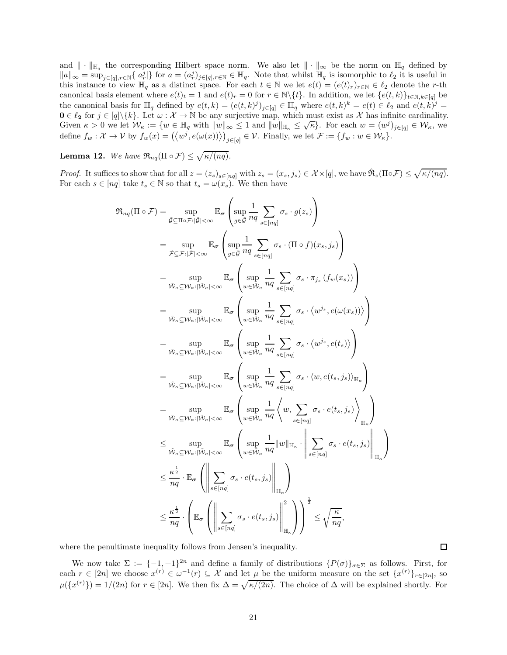and  $\|\cdot\|_{\mathbb{H}_q}$  the corresponding Hilbert space norm. We also let  $\|\cdot\|_{\infty}$  be the norm on  $\mathbb{H}_q$  defined by  $||a||_{\infty} = \sup_{j \in [q], r \in \mathbb{N}} \{|a_r^j|\}$  for  $a = (a_r^j)_{j \in [q], r \in \mathbb{N}} \in \mathbb{H}_q$ . Note that whilst  $\mathbb{H}_q$  is isomorphic to  $\ell_2$  it is useful in this instance to view  $\mathbb{H}_q$  as a distinct space. For each  $t \in \mathbb{N}$  we let  $e(t) = (e(t)_r)_{r \in \mathbb{N}} \in \ell_2$  denote the r-th canonical basis element where  $e(t)_t = 1$  and  $e(t)_r = 0$  for  $r \in \mathbb{N}\backslash\{t\}$ . In addition, we let  $\{e(t, k)\}_{t \in \mathbb{N}, k \in [q]}$  be the canonical basis for  $\mathbb{H}_q$  defined by  $e(t,k) = (e(t,k)^j)_{j \in [q]} \in \mathbb{H}_q$  where  $e(t,k)^k = e(t) \in \ell_2$  and  $e(t,k)^j =$  $0 \in \ell_2$  for  $j \in [q] \backslash \{k\}$ . Let  $\omega : \mathcal{X} \to \mathbb{N}$  be any surjective map, which must exist as X has infinite cardinality. Given  $\kappa > 0$  we let  $\mathcal{W}_{\kappa} := \{ w \in \mathbb{H}_q \text{ with } ||w||_{\infty} \leq 1 \text{ and } ||w||_{\mathbb{H}_{\kappa}} \leq \sqrt{\kappa} \}.$  For each  $w = (w^j)_{j \in [q]} \in \mathcal{W}_{\kappa}$ , we define  $f_w: \mathcal{X} \to \mathcal{V}$  by  $f_w(x) = (\langle w^j, e(\omega(x)) \rangle)_{j \in [q]} \in \mathcal{V}$ . Finally, we let  $\mathcal{F} := \{f_w: w \in \mathcal{W}_\kappa\}.$ 

**Lemma 12.** We have  $\Re_{nq}(\Pi \circ \mathcal{F}) \leq \sqrt{\kappa/(nq)}$ .

*Proof.* It suffices to show that for all  $z = (z_s)_{s \in [nq]}$  with  $z_s = (x_s, j_s) \in \mathcal{X} \times [q]$ , we have  $\mathbb{R}_z(\Pi \circ \mathcal{F}) \leq \sqrt{\kappa/(nq)}$ . For each  $s \in [nq]$  take  $t_s \in \mathbb{N}$  so that  $t_s = \omega(x_s)$ . We then have

$$
\mathfrak{R}_{nq}(\Pi \circ \mathcal{F}) = \sup_{\tilde{\mathcal{G}} \subseteq \Pi \circ \mathcal{F}: |\tilde{\mathcal{G}}| < \infty} \mathbb{E}_{\sigma} \left( \sup_{g \in \tilde{\mathcal{G}}} \frac{1}{nq} \sum_{s \in [nq]} \sigma_{s} \cdot g(z_{s}) \right)
$$
\n
$$
= \sup_{\tilde{\mathcal{F}} \subseteq \mathcal{F}: |\tilde{\mathcal{F}}| < \infty} \mathbb{E}_{\sigma} \left( \sup_{g \in \tilde{\mathcal{G}}} \frac{1}{nq} \sum_{s \in [nq]} \sigma_{s} \cdot (\Pi \circ f)(x_{s}, j_{s}) \right)
$$
\n
$$
= \sup_{\tilde{\mathcal{W}}_{\kappa} \subseteq \mathcal{W}_{\kappa}: |\tilde{\mathcal{W}}_{\kappa}| < \infty} \mathbb{E}_{\sigma} \left( \sup_{w \in \tilde{\mathcal{W}}_{\kappa}} \frac{1}{nq} \sum_{s \in [nq]} \sigma_{s} \cdot \pi_{j_{s}} \cdot (f_{w}(x_{s})) \right)
$$
\n
$$
= \sup_{\tilde{\mathcal{W}}_{\kappa} \subseteq \mathcal{W}_{\kappa}: |\tilde{\mathcal{W}}_{\kappa}| < \infty} \mathbb{E}_{\sigma} \left( \sup_{w \in \tilde{\mathcal{W}}_{\kappa}} \frac{1}{nq} \sum_{s \in [nq]} \sigma_{s} \cdot \langle w^{j_{s}}, e(\omega(x_{s})) \rangle \right)
$$
\n
$$
= \sup_{\tilde{\mathcal{W}}_{\kappa} \subseteq \mathcal{W}_{\kappa}: |\tilde{\mathcal{W}}_{\kappa}| < \infty} \mathbb{E}_{\sigma} \left( \sup_{w \in \tilde{\mathcal{W}}_{\kappa}} \frac{1}{nq} \sum_{s \in [nq]} \sigma_{s} \cdot \langle w^{j_{s}}, e(\omega(x_{s})) \rangle \right)
$$
\n
$$
= \sup_{\tilde{\mathcal{W}}_{\kappa} \subseteq \mathcal{W}_{\kappa}: |\tilde{\mathcal{W}}_{\kappa}| < \infty} \mathbb{E}_{\sigma} \left( \sup_{w \in \tilde{\mathcal{W}}_{\kappa}} \frac{1}{nq} \sum_{s \in [nq]}
$$

where the penultimate inequality follows from Jensen's inequality.

We now take  $\Sigma := \{-1, +1\}^{2n}$  and define a family of distributions  $\{P(\sigma)\}_{{\sigma \in \Sigma}}$  as follows. First, for each  $r \in [2n]$  we choose  $x^{(r)} \in \omega^{-1}(r) \subseteq \mathcal{X}$  and let  $\mu$  be the uniform measure on the set  $\{x^{(r)}\}_{r \in [2n]}$ , so  $\mu({x^{(r)}}) = 1/(2n)$  for  $r \in [2n]$ . We then fix  $\Delta = \sqrt{\kappa/(2n)}$ . The choice of  $\Delta$  will be explained shortly. For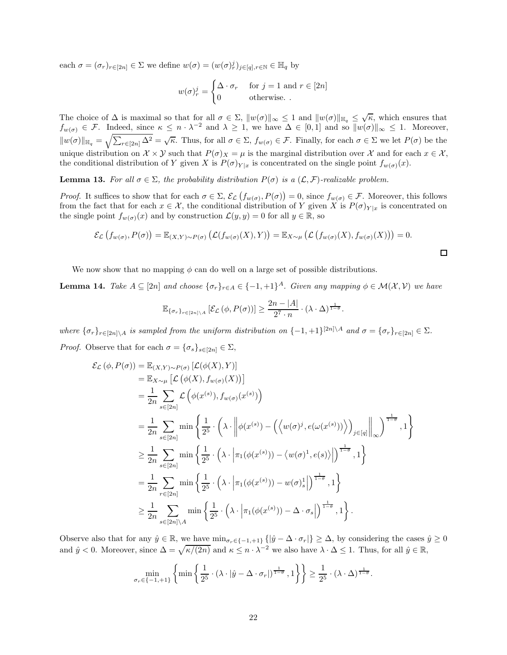each  $\sigma = (\sigma_r)_{r \in [2n]} \in \Sigma$  we define  $w(\sigma) = (w(\sigma)_r^j)_{j \in [q], r \in \mathbb{N}} \in \mathbb{H}_q$  by

$$
w(\sigma)_r^j = \begin{cases} \Delta \cdot \sigma_r & \text{for } j = 1 \text{ and } r \in [2n] \\ 0 & \text{otherwise.} \end{cases}
$$

The choice of  $\Delta$  is maximal so that for all  $\sigma \in \Sigma$ ,  $\|w(\sigma)\|_{\infty} \leq 1$  and  $\|w(\sigma)\|_{\mathbb{H}_q} \leq \sqrt{\kappa}$ , which ensures that  $f_{w(\sigma)} \in \mathcal{F}$ . Indeed, since  $\kappa \leq n \cdot \lambda^{-2}$  and  $\lambda \geq 1$ , we have  $\Delta \in [0,1]$  and so  $||w(\sigma)||_{\infty} \leq 1$ . Moreover,  $||w(\sigma)||_{\mathbb{H}_q} = \sqrt{\sum_{r \in [2n]} \Delta^2} = \sqrt{\kappa}$ . Thus, for all  $\sigma \in \Sigma$ ,  $f_{w(\sigma)} \in \mathcal{F}$ . Finally, for each  $\sigma \in \Sigma$  we let  $P(\sigma)$  be the unique distribution on  $\mathcal{X} \times \mathcal{Y}$  such that  $P(\sigma)_{X} = \mu$  is the marginal distribution over  $\mathcal{X}$  and for each  $x \in \mathcal{X}$ , the conditional distribution of Y given X is  $P(\sigma)_{Y|x}$  is concentrated on the single point  $f_{w(\sigma)}(x)$ .

<span id="page-21-1"></span>**Lemma 13.** For all  $\sigma \in \Sigma$ , the probability distribution  $P(\sigma)$  is a  $(\mathcal{L}, \mathcal{F})$ -realizable problem.

*Proof.* It suffices to show that for each  $\sigma \in \Sigma$ ,  $\mathcal{E}_{\mathcal{L}}(f_{w(\sigma)}, P(\sigma)) = 0$ , since  $f_{w(\sigma)} \in \mathcal{F}$ . Moreover, this follows from the fact that for each  $x \in \mathcal{X}$ , the conditional distribution of Y given X is  $P(\sigma)_{Y|x}$  is concentrated on the single point  $f_{w(\sigma)}(x)$  and by construction  $\mathcal{L}(y, y) = 0$  for all  $y \in \mathbb{R}$ , so

$$
\mathcal{E}_{\mathcal{L}}(f_{w(\sigma)}, P(\sigma)) = \mathbb{E}_{(X,Y)\sim P(\sigma)}(\mathcal{L}(f_{w(\sigma)}(X), Y)) = \mathbb{E}_{X\sim\mu}(\mathcal{L}(f_{w(\sigma)}(X), f_{w(\sigma)}(X))) = 0.
$$

 $\Box$ 

We now show that no mapping  $\phi$  can do well on a large set of possible distributions.

<span id="page-21-0"></span>**Lemma 14.** Take  $A \subseteq [2n]$  and choose  $\{\sigma_r\}_{r \in A} \in \{-1, +1\}^A$ . Given any mapping  $\phi \in \mathcal{M}(\mathcal{X}, \mathcal{V})$  we have

$$
\mathbb{E}_{\{\sigma_r\}_{r\in[2n]\setminus A}}\left[\mathcal{E}_{\mathcal{L}}\left(\phi, P(\sigma)\right)\right] \geq \frac{2n-|A|}{2^7 \cdot n} \cdot (\lambda \cdot \Delta)^{\frac{1}{1-\theta}}.
$$

where  $\{\sigma_r\}_{r \in [2n]\setminus A}$  is sampled from the uniform distribution on  $\{-1,+1\}^{[2n]\setminus A}$  and  $\sigma = \{\sigma_r\}_{r \in [2n]} \in \Sigma$ . *Proof.* Observe that for each  $\sigma = {\{\sigma_s\}_{s \in [2n]}} \in \Sigma$ ,

$$
\mathcal{E}_{\mathcal{L}}(\phi, P(\sigma)) = \mathbb{E}_{(X,Y)\sim P(\sigma)} [\mathcal{L}(\phi(X), Y)]
$$
  
\n
$$
= \mathbb{E}_{X\sim\mu} [\mathcal{L}(\phi(X), f_{w(\sigma)}(X))]
$$
  
\n
$$
= \frac{1}{2n} \sum_{s\in[2n]} \mathcal{L}(\phi(x^{(s)}), f_{w(\sigma)}(x^{(s)}))
$$
  
\n
$$
= \frac{1}{2n} \sum_{s\in[2n]} \min \left\{ \frac{1}{2^5} \cdot \left( \lambda \cdot \left\| \phi(x^{(s)}) - (\left\langle w(\sigma)^j, e(\omega(x^{(s)})) \right\rangle \right)_{j\in[q]} \right\|_{\infty} \right\}^{\frac{1}{1-\theta}}, 1 \right\}
$$
  
\n
$$
\geq \frac{1}{2n} \sum_{s\in[2n]} \min \left\{ \frac{1}{2^5} \cdot \left( \lambda \cdot \left| \pi_1(\phi(x^{(s)})) - \left\langle w(\sigma)^1, e(s) \right\rangle \right| \right)^{\frac{1}{1-\theta}}, 1 \right\}
$$
  
\n
$$
= \frac{1}{2n} \sum_{r\in[2n]} \min \left\{ \frac{1}{2^5} \cdot \left( \lambda \cdot \left| \pi_1(\phi(x^{(s)})) - w(\sigma)^1_s \right| \right)^{\frac{1}{1-\theta}}, 1 \right\}
$$
  
\n
$$
\geq \frac{1}{2n} \sum_{s\in[2n]\setminus A} \min \left\{ \frac{1}{2^5} \cdot \left( \lambda \cdot \left| \pi_1(\phi(x^{(s)})) - \Delta \cdot \sigma_s \right| \right)^{\frac{1}{1-\theta}}, 1 \right\}.
$$

Observe also that for any  $\hat{y} \in \mathbb{R}$ , we have  $\min_{\sigma_r \in \{-1, +1\}} \{|\hat{y} - \Delta \cdot \sigma_r|\} \geq \Delta$ , by considering the cases  $\hat{y} \geq 0$ and  $\hat{y} < 0$ . Moreover, since  $\Delta = \sqrt{\kappa/(2n)}$  and  $\kappa \leq n \cdot \lambda^{-2}$  we also have  $\lambda \cdot \Delta \leq 1$ . Thus, for all  $\hat{y} \in \mathbb{R}$ ,

$$
\min_{\sigma_r \in \{-1, +1\}} \left\{ \min \left\{ \frac{1}{2^5} \cdot (\lambda \cdot |\hat{y} - \Delta \cdot \sigma_r|)^{\frac{1}{1-\theta}}, 1 \right\} \right\} \ge \frac{1}{2^5} \cdot (\lambda \cdot \Delta)^{\frac{1}{1-\theta}}.
$$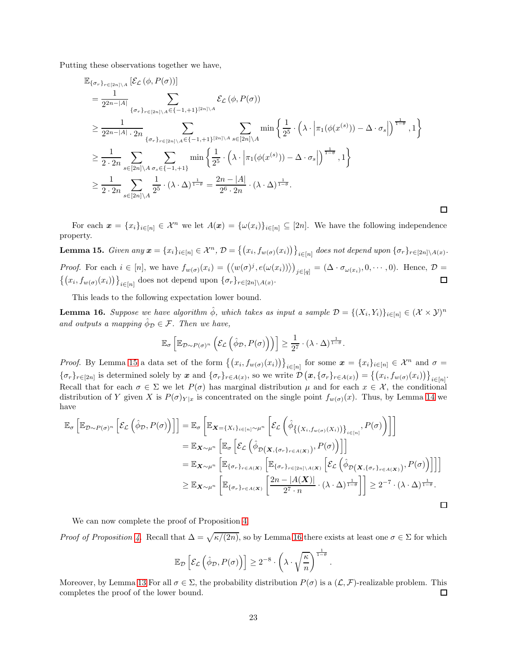Putting these observations together we have,

$$
\mathbb{E}_{\{\sigma_r\}_{r\in[2n]\backslash A}}\left[\mathcal{E}_{\mathcal{L}}\left(\phi, P(\sigma)\right)\right]
$$
\n
$$
= \frac{1}{2^{2n-|A|}} \sum_{\{\sigma_r\}_{r\in[2n]\backslash A}\in\{-1,+1\}^{[2n]\backslash A}} \mathcal{E}_{\mathcal{L}}\left(\phi, P(\sigma)\right)
$$
\n
$$
\geq \frac{1}{2^{2n-|A|} \cdot 2n} \sum_{\{\sigma_r\}_{r\in[2n]\backslash A}\in\{-1,+1\}^{[2n]\backslash A}} \sum_{s\in[2n]\backslash A} \min\left\{\frac{1}{2^5} \cdot \left(\lambda \cdot \left|\pi_1(\phi(x^{(s)})) - \Delta \cdot \sigma_s\right|\right)^{\frac{1}{1-\theta}}, 1\right\}
$$
\n
$$
\geq \frac{1}{2 \cdot 2n} \sum_{s\in[2n]\backslash A} \sum_{\sigma_s \in \{-1,+1\}} \min\left\{\frac{1}{2^5} \cdot \left(\lambda \cdot \left|\pi_1(\phi(x^{(s)})) - \Delta \cdot \sigma_s\right|\right)^{\frac{1}{1-\theta}}, 1\right\}
$$
\n
$$
\geq \frac{1}{2 \cdot 2n} \sum_{s\in[2n]\backslash A} \frac{1}{2^5} \cdot (\lambda \cdot \Delta)^{\frac{1}{1-\theta}} = \frac{2n-|A|}{2^6 \cdot 2n} \cdot (\lambda \cdot \Delta)^{\frac{1}{1-\theta}}.
$$

For each  $\mathbf{x} = \{x_i\}_{i \in [n]} \in \mathcal{X}^n$  we let  $A(\mathbf{x}) = \{\omega(x_i)\}_{i \in [n]} \subseteq [2n]$ . We have the following independence property.

 $\Box$ 

<span id="page-22-0"></span>**Lemma 15.** Given any  $\boldsymbol{x} = \{x_i\}_{i \in [n]} \in \mathcal{X}^n$ ,  $\mathcal{D} = \{(x_i, f_{w(\sigma)}(x_i))\}_{i \in [n]}$  does not depend upon  $\{\sigma_r\}_{r \in [2n] \setminus A(x)}$ . *Proof.* For each  $i \in [n]$ , we have  $f_{w(\sigma)}(x_i) = (\langle w(\sigma)^j, e(\omega(x_i)) \rangle)_{j \in [q]} = (\Delta \cdot \sigma_{\omega(x_i)}, 0, \cdots, 0)$ . Hence,  $\mathcal{D} =$  $\{(x_i, f_{w(\sigma)}(x_i))\}_{i \in [n]}$  does not depend upon  $\{\sigma_r\}_{r \in [2n] \setminus A(x)}$ .  $\Box$ 

This leads to the following expectation lower bound.

<span id="page-22-1"></span>**Lemma 16.** Suppose we have algorithm  $\hat{\phi}$ , which takes as input a sample  $\mathcal{D} = \{(X_i, Y_i)\}_{i \in [n]} \in (\mathcal{X} \times \mathcal{Y})^n$ and outputs a mapping  $\hat{\phi}_{\mathcal{D}} \in \mathcal{F}$ . Then we have,

$$
\mathbb{E}_{\sigma}\left[\mathbb{E}_{\mathcal{D}\sim P(\sigma)^n}\left(\mathcal{E}_{\mathcal{L}}\left(\hat{\phi}_{\mathcal{D}}, P(\sigma)\right)\right)\right] \geq \frac{1}{2^7} \cdot (\lambda \cdot \Delta)^{\frac{1}{1-\theta}}.
$$

*Proof.* By Lemma [15](#page-22-0) a data set of the form  $\{(x_i, f_{w(\sigma)}(x_i))\}_{i\in[n]}$  for some  $\boldsymbol{x} = \{x_i\}_{i\in[n]} \in \mathcal{X}^n$  and  $\sigma =$  $\{\sigma_r\}_{r\in [2n]}$  is determined solely by x and  $\{\sigma_r\}_{r\in A(x)}$ , so we write  $\mathcal{D}(\bm{x}, \{\sigma_r\}_{r\in A(x)}) = \{(x_i, f_{w(\sigma)}(x_i))\}_{i\in [n]}$ . Recall that for each  $\sigma \in \Sigma$  we let  $P(\sigma)$  has marginal distribution  $\mu$  and for each  $x \in \mathcal{X}$ , the conditional distribution of Y given X is  $P(\sigma)_{Y|x}$  is concentrated on the single point  $f_{w(\sigma)}(x)$ . Thus, by Lemma [14](#page-21-0) we have

$$
\mathbb{E}_{\sigma}\left[\mathbb{E}_{\mathcal{D}\sim P(\sigma)^n}\left[\mathcal{E}_{\mathcal{L}}\left(\hat{\phi}_{\mathcal{D}},P(\sigma)\right)\right]\right] = \mathbb{E}_{\sigma}\left[\mathbb{E}_{\mathbf{X}=\{X_i\}_{i\in[n]}\sim\mu^n}\left[\mathcal{E}_{\mathcal{L}}\left(\hat{\phi}_{\{(X_i,f_{w(\sigma)}(X_i))\}_{i\in[n]}},P(\sigma)\right)\right]\right]
$$
\n
$$
= \mathbb{E}_{\mathbf{X}\sim\mu^n}\left[\mathbb{E}_{\sigma}\left[\mathcal{E}_{\mathcal{L}}\left(\hat{\phi}_{\mathcal{D}(\mathbf{X},\{\sigma_r\}_{r\in A(\mathbf{X})})},P(\sigma)\right)\right]\right]
$$
\n
$$
= \mathbb{E}_{\mathbf{X}\sim\mu^n}\left[\mathbb{E}_{\{\sigma_r\}_{r\in A(\mathbf{X})}}\left[\mathbb{E}_{\{\sigma_r\}_{r\in[2n]\setminus A(\mathbf{X})}}\left[\mathcal{E}_{\mathcal{L}}\left(\hat{\phi}_{\mathcal{D}(\mathbf{X},\{\sigma_r\}_{r\in A(\mathbf{X})})},P(\sigma)\right)\right]\right]\right]
$$
\n
$$
\geq \mathbb{E}_{\mathbf{X}\sim\mu^n}\left[\mathbb{E}_{\{\sigma_r\}_{r\in A(\mathbf{X})}}\left[\frac{2n-|A(\mathbf{X})|}{2^7\cdot n}\cdot(\lambda\cdot\Delta)^{\frac{1}{1-\theta}}\right]\right] \geq 2^{-7}\cdot(\lambda\cdot\Delta)^{\frac{1}{1-\theta}}.
$$

We can now complete the proof of Proposition [4.](#page-18-1)

*Proof of Proposition [4.](#page-18-1)* Recall that  $\Delta = \sqrt{\kappa/(2n)}$ , so by Lemma [16](#page-22-1) there exists at least one  $\sigma \in \Sigma$  for which

$$
\mathbb{E}_{\mathcal{D}}\left[\mathcal{E}_{\mathcal{L}}\left(\hat{\phi}_{\mathcal{D}}, P(\sigma)\right)\right] \geq 2^{-8} \cdot \left(\lambda \cdot \sqrt{\frac{\kappa}{n}}\right)^{\frac{1}{1-\theta}}.
$$

Moreover, by Lemma [13](#page-21-1) For all  $\sigma \in \Sigma$ , the probability distribution  $P(\sigma)$  is a  $(\mathcal{L}, \mathcal{F})$ -realizable problem. This completes the proof of the lower bound. completes the proof of the lower bound.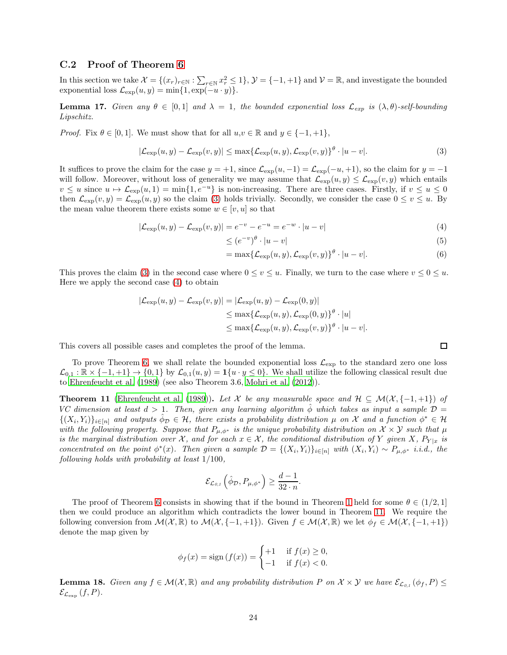### C.2 Proof of Theorem [6](#page-9-2)

In this section we take  $\mathcal{X} = \{(x_r)_{r \in \mathbb{N}} : \sum_{r \in \mathbb{N}} x_r^2 \leq 1\}$ ,  $\mathcal{Y} = \{-1, +1\}$  and  $\mathcal{V} = \mathbb{R}$ , and investigate the bounded exponential loss  $\mathcal{L}_{\exp}(u, y) = \min\{1, \exp(-u \cdot y)\}.$ 

<span id="page-23-4"></span>**Lemma 17.** Given any  $\theta \in [0,1]$  and  $\lambda = 1$ , the bounded exponential loss  $\mathcal{L}_{exp}$  is  $(\lambda, \theta)$ -self-bounding Lipschitz.

*Proof.* Fix  $\theta \in [0, 1]$ . We must show that for all  $u, v \in \mathbb{R}$  and  $y \in \{-1, +1\}$ ,

$$
|\mathcal{L}_{\exp}(u, y) - \mathcal{L}_{\exp}(v, y)| \le \max\{\mathcal{L}_{\exp}(u, y), \mathcal{L}_{\exp}(v, y)\}^{\theta} \cdot |u - v|.
$$
 (3)

It suffices to prove the claim for the case  $y = +1$ , since  $\mathcal{L}_{\exp}(u, -1) = \mathcal{L}_{\exp}(-u, +1)$ , so the claim for  $y = -1$ will follow. Moreover, without loss of generality we may assume that  $\mathcal{L}_{exp}(u, y) \leq \mathcal{L}_{exp}(v, y)$  which entails  $v \leq u$  since  $u \mapsto \mathcal{L}_{exp}(u, 1) = \min\{1, e^{-u}\}\$ is non-increasing. There are three cases. Firstly, if  $v \leq u \leq 0$ then  $\mathcal{L}_{\text{exp}}(v, y) = \mathcal{L}_{\text{exp}}(u, y)$  so the claim [\(3\)](#page-23-0) holds trivially. Secondly, we consider the case  $0 \le v \le u$ . By the mean value theorem there exists some  $w \in [v, u]$  so that

$$
|\mathcal{L}_{\exp}(u, y) - \mathcal{L}_{\exp}(v, y)| = e^{-v} - e^{-u} = e^{-w} \cdot |u - v|
$$
\n(4)

$$
\leq (e^{-v})^{\theta} \cdot |u - v| \tag{5}
$$

$$
= \max\{\mathcal{L}_{\exp}(u, y), \mathcal{L}_{\exp}(v, y)\}^{\theta} \cdot |u - v|.
$$
 (6)

This proves the claim [\(3\)](#page-23-0) in the second case where  $0 \le v \le u$ . Finally, we turn to the case where  $v \le 0 \le u$ . Here we apply the second case [\(4\)](#page-23-1) to obtain

$$
|\mathcal{L}_{\exp}(u, y) - \mathcal{L}_{\exp}(v, y)| = |\mathcal{L}_{\exp}(u, y) - \mathcal{L}_{\exp}(0, y)|
$$
  
\n
$$
\leq \max \{ \mathcal{L}_{\exp}(u, y), \mathcal{L}_{\exp}(0, y) \}^{\theta} \cdot |u|
$$
  
\n
$$
\leq \max \{ \mathcal{L}_{\exp}(u, y), \mathcal{L}_{\exp}(v, y) \}^{\theta} \cdot |u - v|.
$$

This covers all possible cases and completes the proof of the lemma.

To prove Theorem [6,](#page-9-2) we shall relate the bounded exponential loss  $\mathcal{L}_{\exp}$  to the standard zero one loss  $\mathcal{L}_{0,1} : \mathbb{R} \times \{-1, +1\} \to \{0, 1\}$  by  $\mathcal{L}_{0,1}(u, y) = \mathbf{1}\{u \cdot y \leq 0\}$ . We shall utilize the following classical result due to [Ehrenfeucht et al. \(1989](#page-12-15)) (see also Theorem 3.6, [Mohri et al. \(2012](#page-13-4))).

<span id="page-23-2"></span>**Theorem 11** [\(Ehrenfeucht et al. \(1989](#page-12-15))). Let X be any measurable space and  $\mathcal{H} \subseteq \mathcal{M}(\mathcal{X}, \{-1, +1\})$  of VC dimension at least  $d > 1$ . Then, given any learning algorithm  $\hat{\phi}$  which takes as input a sample  $\mathcal{D} =$  $\{(X_i,Y_i)\}_{i\in[n]}$  and outputs  $\hat{\phi}_D \in \mathcal{H}$ , there exists a probability distribution  $\mu$  on X and a function  $\phi^* \in \mathcal{H}$ with the following property. Suppose that  $P_{\mu,\phi^*}$  is the unique probability distribution on  $\mathcal{X}\times\mathcal{Y}$  such that  $\mu$ is the marginal distribution over X, and for each  $x \in \mathcal{X}$ , the conditional distribution of Y given X,  $P_{Y|x}$  is concentrated on the point  $\phi^*(x)$ . Then given a sample  $\mathcal{D} = \{(X_i, Y_i)\}_{i \in [n]}$  with  $(X_i, Y_i) \sim P_{\mu, \phi^*}$  i.i.d., the following holds with probability at least 1/100,

$$
\mathcal{E}_{\mathcal{L}_{0,1}}\left(\hat{\phi}_{\mathcal{D}}, P_{\mu,\phi^*}\right) \geq \frac{d-1}{32 \cdot n}.
$$

The proof of Theorem [6](#page-9-2) consists in showing that if the bound in Theorem [1](#page-4-0) held for some  $\theta \in (1/2, 1]$ then we could produce an algorithm which contradicts the lower bound in Theorem [11.](#page-23-2) We require the following conversion from  $\mathcal{M}(\mathcal{X}, \mathbb{R})$  to  $\mathcal{M}(\mathcal{X}, \{-1, +1\})$ . Given  $f \in \mathcal{M}(\mathcal{X}, \mathbb{R})$  we let  $\phi_f \in \mathcal{M}(\mathcal{X}, \{-1, +1\})$ denote the map given by

$$
\phi_f(x) = \text{sign}(f(x)) = \begin{cases}\n+1 & \text{if } f(x) \ge 0, \\
-1 & \text{if } f(x) < 0.\n\end{cases}
$$

<span id="page-23-3"></span>**Lemma 18.** Given any  $f \in \mathcal{M}(\mathcal{X}, \mathbb{R})$  and any probability distribution P on  $\mathcal{X} \times \mathcal{Y}$  we have  $\mathcal{E}_{\mathcal{L}_{0,1}}(\phi_f, P) \leq$  $\mathcal{E}_{\mathcal{L}_{\text{exp}}}(f, P).$ 

<span id="page-23-1"></span><span id="page-23-0"></span>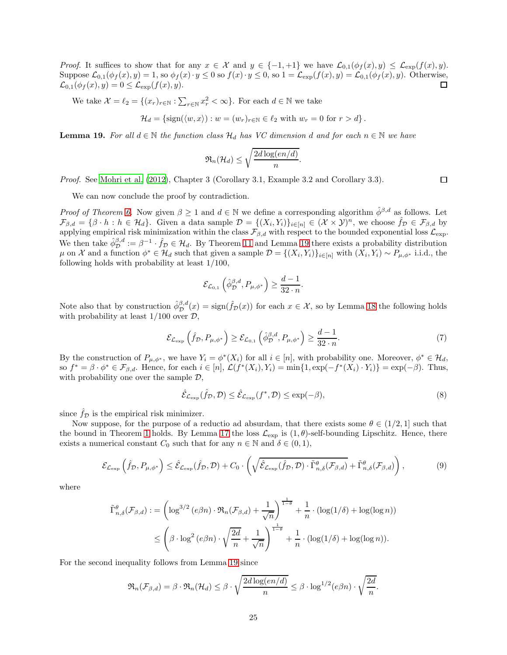*Proof.* It suffices to show that for any  $x \in \mathcal{X}$  and  $y \in \{-1, +1\}$  we have  $\mathcal{L}_{0,1}(\phi_f(x), y) \leq \mathcal{L}_{exp}(f(x), y)$ . Suppose  $\mathcal{L}_{0,1}(\phi_f(x), y) = 1$ , so  $\phi_f(x) \cdot y \le 0$  so  $f(x) \cdot y \le 0$ , so  $1 = \mathcal{L}_{exp}(f(x), y) = \mathcal{L}_{0,1}(\phi_f(x), y)$ . Otherwise,  $\mathcal{L}_{0,1}(\phi_f(x), y) = 0 \le \mathcal{L}_{exp}(f(x), y)$ .  $\mathcal{L}_{0,1}(\phi_f(x), y) = 0 \leq \mathcal{L}_{\exp}(f(x), y).$ 

We take  $\mathcal{X} = \ell_2 = \{(x_r)_{r \in \mathbb{N}} : \sum_{r \in \mathbb{N}} x_r^2 < \infty\}$ . For each  $d \in \mathbb{N}$  we take

$$
\mathcal{H}_d = \left\{ \text{sign}(\langle w, x \rangle) : w = (w_r)_{r \in \mathbb{N}} \in \ell_2 \text{ with } w_r = 0 \text{ for } r > d \right\}.
$$

<span id="page-24-0"></span>**Lemma 19.** For all  $d \in \mathbb{N}$  the function class  $\mathcal{H}_d$  has VC dimension d and for each  $n \in \mathbb{N}$  we have

$$
\mathfrak{R}_n(\mathcal{H}_d) \leq \sqrt{\frac{2d \log(en/d)}{n}}.
$$

Proof. See [Mohri et al. \(2012\)](#page-13-4), Chapter 3 (Corollary 3.1, Example 3.2 and Corollary 3.3).

We can now conclude the proof by contradiction.

*Proof of Theorem [6.](#page-9-2)* Now given  $\beta \geq 1$  and  $d \in \mathbb{N}$  we define a corresponding algorithm  $\hat{\phi}^{\beta,d}$  as follows. Let  $\mathcal{F}_{\beta,d} = \{\beta \cdot h : h \in \mathcal{H}_d\}.$  Given a data sample  $\mathcal{D} = \{(X_i, Y_i)\}_{i \in [n]} \in (\mathcal{X} \times \mathcal{Y})^n$ , we choose  $\hat{f}_{\mathcal{D}} \in \mathcal{F}_{\beta,d}$  by applying empirical risk minimization within the class  $\mathcal{F}_{\beta,d}$  with respect to the bounded exponential loss  $\mathcal{L}_{\text{exp}}$ . We then take  $\hat{\phi}_{\mathcal{D}}^{\beta,d} := \beta^{-1} \cdot \hat{f}_{\mathcal{D}} \in \mathcal{H}_d$ . By Theorem [11](#page-23-2) and Lemma [19](#page-24-0) there exists a probability distribution  $\mu$  on X and a function  $\phi^* \in \mathcal{H}_d$  such that given a sample  $\mathcal{D} = \{(X_i, Y_i)\}_{i \in [n]}$  with  $(X_i, Y_i) \sim P_{\mu, \phi^*}$  i.i.d., the following holds with probability at least 1/100,

<span id="page-24-3"></span>
$$
\mathcal{E}_{\mathcal{L}_{0,1}}\left(\hat{\phi}_{\mathcal{D}}^{\beta,d}, P_{\mu,\phi^*}\right) \ge \frac{d-1}{32 \cdot n}.
$$

Note also that by construction  $\hat{\phi}_{\mathcal{D}}^{\beta,d}(x) = \text{sign}(\hat{f}_{\mathcal{D}}(x))$  for each  $x \in \mathcal{X}$ , so by Lemma [18](#page-23-3) the following holds with probability at least  $1/100$  over  $\mathcal{D}$ ,

$$
\mathcal{E}_{\mathcal{L}_{\exp}}\left(\hat{f}_{\mathcal{D}}, P_{\mu,\phi^*}\right) \ge \mathcal{E}_{\mathcal{L}_{0,1}}\left(\hat{\phi}_{\mathcal{D}}^{\beta,d}, P_{\mu,\phi^*}\right) \ge \frac{d-1}{32 \cdot n}.\tag{7}
$$

By the construction of  $P_{\mu,\phi^*}$ , we have  $Y_i = \phi^*(X_i)$  for all  $i \in [n]$ , with probability one. Moreover,  $\phi^* \in \mathcal{H}_d$ , so  $f^* = \beta \cdot \phi^* \in \mathcal{F}_{\beta,d}$ . Hence, for each  $i \in [n]$ ,  $\mathcal{L}(f^*(X_i), Y_i) = \min\{1, \exp(-f^*(X_i) \cdot Y_i)\} = \exp(-\beta)$ . Thus, with probability one over the sample  $\mathcal{D}$ ,

<span id="page-24-2"></span><span id="page-24-1"></span>
$$
\hat{\mathcal{E}}_{\mathcal{L}_{\exp}}(\hat{f}_{\mathcal{D}}, \mathcal{D}) \le \hat{\mathcal{E}}_{\mathcal{L}_{\exp}}(f^*, \mathcal{D}) \le \exp(-\beta),\tag{8}
$$

since  $\hat{f}_\mathcal{D}$  is the empirical risk minimizer.

Now suppose, for the purpose of a reductio ad absurdam, that there exists some  $\theta \in (1/2, 1]$  such that the bound in Theorem [1](#page-4-0) holds. By Lemma [17](#page-23-4) the loss  $\mathcal{L}_{exp}$  is  $(1, \theta)$ -self-bounding Lipschitz. Hence, there exists a numerical constant  $C_0$  such that for any  $n \in \mathbb{N}$  and  $\delta \in (0,1)$ ,

$$
\mathcal{E}_{\mathcal{L}_{\exp}}\left(\hat{f}_{\mathcal{D}}, P_{\mu,\phi^*}\right) \leq \hat{\mathcal{E}}_{\mathcal{L}_{\exp}}(\hat{f}_{\mathcal{D}}, \mathcal{D}) + C_0 \cdot \left(\sqrt{\hat{\mathcal{E}}_{\mathcal{L}_{\exp}}(\hat{f}_{\mathcal{D}}, \mathcal{D}) \cdot \tilde{\Gamma}_{n,\delta}^{\theta}(\mathcal{F}_{\beta,d})} + \tilde{\Gamma}_{n,\delta}^{\theta}(\mathcal{F}_{\beta,d})\right),\tag{9}
$$

where

$$
\tilde{\Gamma}_{n,\delta}^{\theta}(\mathcal{F}_{\beta,d}) := \left(\log^{3/2}\left(e\beta n\right) \cdot \mathfrak{R}_{n}(\mathcal{F}_{\beta,d}) + \frac{1}{\sqrt{n}}\right)^{\frac{1}{1-\theta}} + \frac{1}{n} \cdot \left(\log(1/\delta) + \log(\log n)\right)
$$
\n
$$
\leq \left(\beta \cdot \log^{2}\left(e\beta n\right) \cdot \sqrt{\frac{2d}{n}} + \frac{1}{\sqrt{n}}\right)^{\frac{1}{1-\theta}} + \frac{1}{n} \cdot \left(\log(1/\delta) + \log(\log n)\right).
$$

For the second inequality follows from Lemma [19](#page-24-0) since

$$
\mathfrak{R}_n(\mathcal{F}_{\beta,d}) = \beta \cdot \mathfrak{R}_n(\mathcal{H}_d) \leq \beta \cdot \sqrt{\frac{2d \log(en/d)}{n}} \leq \beta \cdot \log^{1/2}(e\beta n) \cdot \sqrt{\frac{2d}{n}}.
$$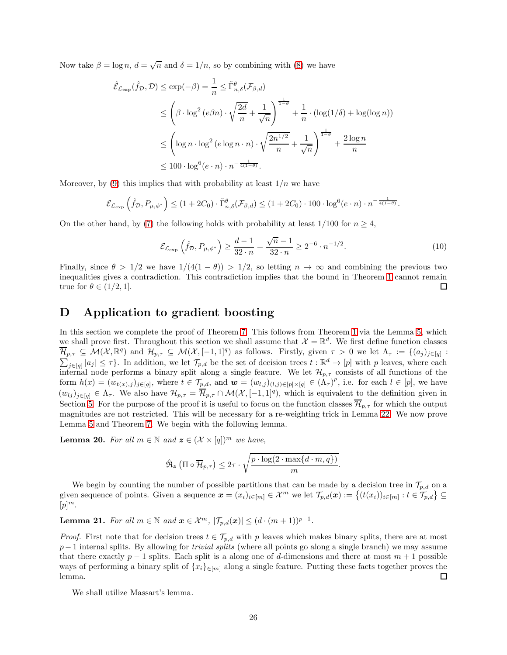Now take  $\beta = \log n$ ,  $d = \sqrt{n}$  and  $\delta = 1/n$ , so by combining with [\(8\)](#page-24-1) we have

$$
\hat{\mathcal{E}}_{\mathcal{L}_{\exp}}(\hat{f}_{\mathcal{D}}, \mathcal{D}) \le \exp(-\beta) = \frac{1}{n} \le \tilde{\Gamma}_{n,\delta}^{\theta}(\mathcal{F}_{\beta,d})
$$
\n
$$
\le \left(\beta \cdot \log^2(e\beta n) \cdot \sqrt{\frac{2d}{n}} + \frac{1}{\sqrt{n}}\right)^{\frac{1}{1-\theta}} + \frac{1}{n} \cdot (\log(1/\delta) + \log(\log n))
$$
\n
$$
\le \left(\log n \cdot \log^2(e\log n \cdot n) \cdot \sqrt{\frac{2n^{1/2}}{n}} + \frac{1}{\sqrt{n}}\right)^{\frac{1}{1-\theta}} + \frac{2\log n}{n}
$$
\n
$$
\le 100 \cdot \log^6(e \cdot n) \cdot n^{-\frac{1}{4(1-\theta)}}.
$$

Moreover, by [\(9\)](#page-24-2) this implies that with probability at least  $1/n$  we have

$$
\mathcal{E}_{\mathcal{L}_{\exp}}\left(\hat{f}_{\mathcal{D}}, P_{\mu,\phi^*}\right) \leq (1+2C_0) \cdot \tilde{\Gamma}_{n,\delta}^{\theta}(\mathcal{F}_{\beta,d}) \leq (1+2C_0) \cdot 100 \cdot \log^6(e \cdot n) \cdot n^{-\frac{1}{4(1-\theta)}}.
$$

On the other hand, by [\(7\)](#page-24-3) the following holds with probability at least  $1/100$  for  $n \geq 4$ ,

$$
\mathcal{E}_{\mathcal{L}_{\exp}}\left(\hat{f}_{\mathcal{D}}, P_{\mu,\phi^*}\right) \ge \frac{d-1}{32 \cdot n} = \frac{\sqrt{n}-1}{32 \cdot n} \ge 2^{-6} \cdot n^{-1/2}.\tag{10}
$$

Finally, since  $\theta > 1/2$  we have  $1/(4(1 - \theta)) > 1/2$ , so letting  $n \to \infty$  and combining the previous two inequalities gives a contradiction. This contradiction implies that the bound in Theorem [1](#page-4-0) cannot remain true for  $\theta \in (1/2, 1]$ .  $\Box$ 

### <span id="page-25-0"></span>D Application to gradient boosting

In this section we complete the proof of Theorem [7.](#page-10-0) This follows from Theorem [1](#page-4-0) via the Lemma [5,](#page-10-1) which we shall prove first. Throughout this section we shall assume that  $\mathcal{X} = \mathbb{R}^d$ . We first define function classes  $\overline{\mathcal{H}}_{p,\tau} \subseteq \mathcal{M}(\mathcal{X},\mathbb{R}^q)$  and  $\mathcal{H}_{p,\tau} \subseteq \mathcal{M}(\mathcal{X},[-1,1]^q)$  as follows. Firstly, given  $\tau > 0$  we let  $\Lambda_{\tau} := \{(a_j)_{j \in [q]} :$  $\sum_{j\in[q]}|a_j|\leq\tau\}$ . In addition, we let  $\mathcal{T}_{p,d}$  be the set of decision trees  $t:\mathbb{R}^d\to[p]$  with p leaves, where each internal node performs a binary split along a single feature. We let  $\mathcal{H}_{p,\tau}$  consists of all functions of the form  $h(x) = (w_{t(x),j})_{j \in [q]}$ , where  $t \in \mathcal{T}_{p,d}$ , and  $\boldsymbol{w} = (w_{l,j})_{(l,j) \in [p] \times [q]} \in (\Lambda_\tau)^p$ , i.e. for each  $l \in [p]$ , we have  $(w_{lj})_{j\in[q]} \in \Lambda_{\tau}$ . We also have  $\mathcal{H}_{p,\tau} = \overline{\mathcal{H}}_{p,\tau} \cap \mathcal{M}(\mathcal{X},[-1,1]^q)$ , which is equivalent to the definition given in Section [5.](#page-9-1) For the purpose of the proof it is useful to focus on the function classes  $\overline{\mathcal{H}}_{p,\tau}$  for which the output magnitudes are not restricted. This will be necessary for a re-weighting trick in Lemma [22.](#page-27-0) We now prove Lemma [5](#page-10-1) and Theorem [7.](#page-10-0) We begin with the following lemma.

<span id="page-25-1"></span>**Lemma 20.** For all  $m \in \mathbb{N}$  and  $\mathbf{z} \in (\mathcal{X} \times [q])^m$  we have,

$$
\hat{\mathfrak{R}}_{\mathbf{z}}\left(\Pi \circ \overline{\mathcal{H}}_{p,\tau}\right) \leq 2\tau \cdot \sqrt{\frac{p \cdot \log(2 \cdot \max\{d \cdot m, q\})}{m}}.
$$

We begin by counting the number of possible partitions that can be made by a decision tree in  $\mathcal{T}_{p,d}$  on a given sequence of points. Given a sequence  $\boldsymbol{x} = (x_i)_{i \in [m]} \in \mathcal{X}^m$  we let  $\mathcal{T}_{p,d}(\boldsymbol{x}) := \{(t(x_i))_{i \in [m]} : t \in \mathcal{T}_{p,d}\} \subseteq$  $[p]^{m}.$ 

<span id="page-25-2"></span>**Lemma 21.** For all  $m \in \mathbb{N}$  and  $\boldsymbol{x} \in \mathcal{X}^m$ ,  $|\mathcal{T}_{p,d}(\boldsymbol{x})| \leq (d \cdot (m+1))^{p-1}$ .

*Proof.* First note that for decision trees  $t \in \mathcal{T}_{p,d}$  with p leaves which makes binary splits, there are at most  $p-1$  internal splits. By allowing for *trivial splits* (where all points go along a single branch) we may assume that there exactly  $p-1$  splits. Each split is a along one of d-dimensions and there at most  $m+1$  possible ways of performing a binary split of  $\{x_i\}_{i\in[m]}$  along a single feature. Putting these facts together proves the lemma. lemma.

We shall utilize Massart's lemma.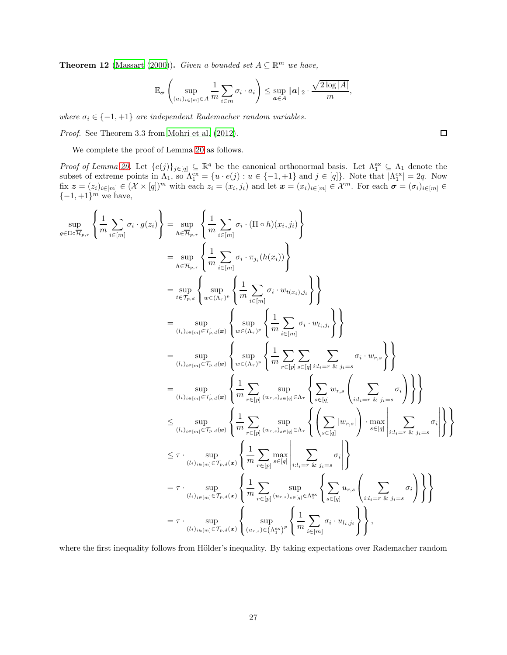<span id="page-26-0"></span>**Theorem 12** [\(Massart \(2000](#page-13-5))). Given a bounded set  $A \subseteq \mathbb{R}^m$  we have,

$$
\mathbb{E}_{\sigma}\left(\sup_{(a_i)_{i\in[m]}\in A} \frac{1}{m} \sum_{i\in m} \sigma_i \cdot a_i\right) \leq \sup_{\mathbf{a}\in A} \|\mathbf{a}\|_2 \cdot \frac{\sqrt{2\log|A|}}{m},
$$

where  $\sigma_i \in \{-1, +1\}$  are independent Rademacher random variables.

Proof. See Theorem 3.3 from [Mohri et al. \(2012\)](#page-13-4).

We complete the proof of Lemma [20](#page-25-1) as follows.

Proof of Lemma [20.](#page-25-1) Let  $\{e(j)\}_{j\in[q]} \subseteq \mathbb{R}^q$  be the canonical orthonormal basis. Let  $\Lambda_1^{\text{ex}} \subseteq \Lambda_1$  denote the subset of extreme points in  $\Lambda_1$ , so  $\Lambda_1^{\text{ex}} = \{u \cdot e(j) : u \in \{-1, +1\} \text{ and } j \in [q]\}.$  Note that  $|\Lambda_1^{\text{ex}}| = 2q$ . Now  $f(x, z = (z_i)_{i \in [m]} \in (\mathcal{X} \times [q])^m$  with each  $z_i = (x_i, j_i)$  and let  $\boldsymbol{x} = (x_i)_{i \in [m]} \in \mathcal{X}^m$ . For each  $\boldsymbol{\sigma} = (\sigma_i)_{i \in [m]} \in$  $\{-1,+1\}^m$  we have,

$$
\sup_{g \in \Pi \circ \overline{\mathcal{H}}_{p,\tau}} \left\{ \frac{1}{m} \sum_{i \in [m]} \sigma_i \cdot g(z_i) \right\} = \sup_{h \in \overline{\mathcal{H}}_{p,\tau}} \left\{ \frac{1}{m} \sum_{i \in [m]} \sigma_i \cdot (\Pi \circ h)(x_i, j_i) \right\}
$$
\n
$$
= \sup_{h \in \overline{\mathcal{H}}_{p,\tau}} \left\{ \frac{1}{m} \sum_{i \in [m]} \sigma_i \cdot \pi_{j_i}(h(x_i)) \right\}
$$
\n
$$
= \sup_{t \in \mathcal{T}_{p,d}} \left\{ \sup_{w \in (\Lambda_r)^p} \left\{ \frac{1}{m} \sum_{i \in [m]} \sigma_i \cdot w_{t(x_i), j_i} \right\} \right\}
$$
\n
$$
= \sup_{(l_i)_{l \in [m]} \in \mathcal{T}_{p,d}} \left\{ \sup_{w \in (\Lambda_r)^p} \left\{ \frac{1}{m} \sum_{i \in [m]} \sigma_i \cdot w_{t(j_i)} \right\} \right\}
$$
\n
$$
= \sup_{(l_i)_{l \in [m]} \in \mathcal{T}_{p,d}} \left\{ \sup_{w \in (\Lambda_r)^p} \left\{ \frac{1}{m} \sum_{i \in [m]} \sum_{i \in [m]} \sigma_i \cdot w_{t,j_i} \right\} \right\}
$$
\n
$$
= \sup_{(l_i)_{l \in [m]} \in \mathcal{T}_{p,d}} \left\{ \sup_{w \in (\Lambda_r)^p} \left\{ \frac{1}{m} \sum_{r \in [p]} \sup_{(w_{r,s})_{s \in [q]} \in \Lambda_r} \left\{ \sum_{s \in [q]} w_{r,s} \left( \sum_{i:l_i = r \cdot k} \sigma_i \right) \right\} \right\}
$$
\n
$$
\leq \sup_{(l_i)_{l \in [m]} \in \mathcal{T}_{p,d}} \left\{ \frac{1}{m} \sum_{r \in [p]} \sup_{(w_{r,s})_{s \in [q]} \in \Lambda_r} \left\{ \left( \sum_{s \in [q]} w_{r,s} \left( \sum_{i:l_i = r \cdot k} \sigma_i \right) \right\} \right\}
$$
\n
$$
\leq \tau \cdot \sup_{(l_i)_{l \in [m]} \in \mathcal{T}_{p
$$

where the first inequality follows from Hölder's inequality. By taking expectations over Rademacher random